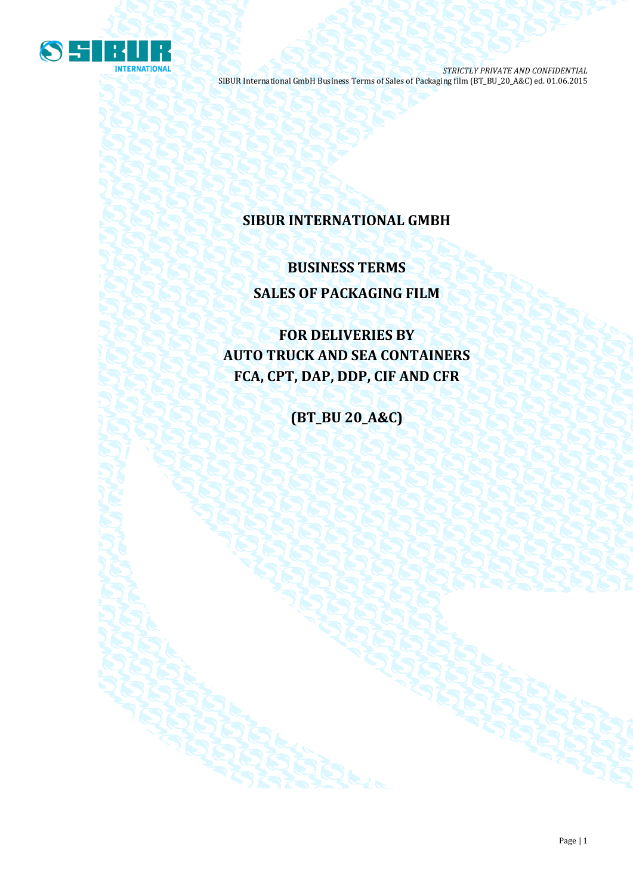

## **SIBUR INTERNATIONAL GMBH**

## **BUSINESS TERMS SALES OF PACKAGING FILM**

**FOR DELIVERIES BY AUTO TRUCK AND SEA CONTAINERS FCA, CPT, DAP, DDP, CIF AND CFR**

**(BT\_BU 20\_A&C)**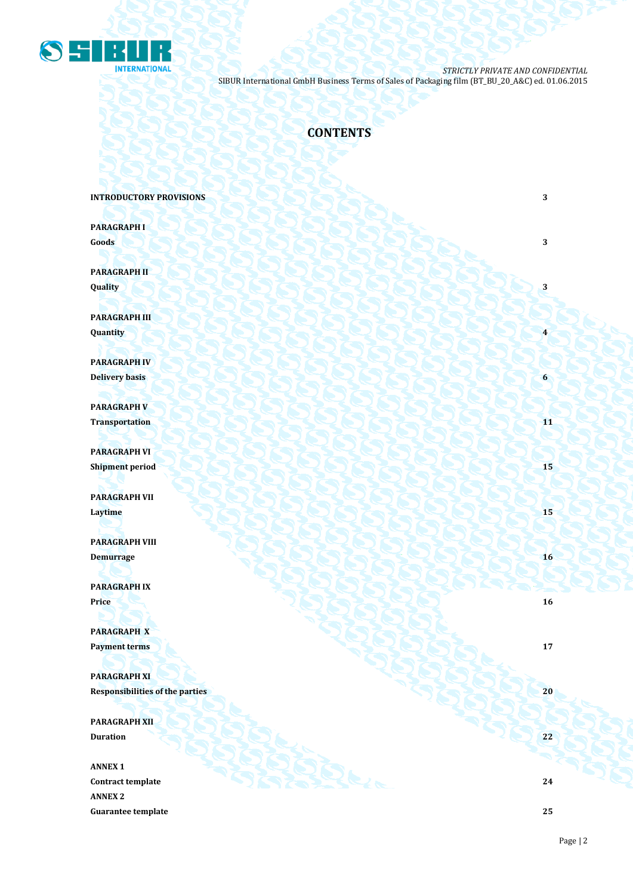

## **CONTENTS**

**INTRODUCTORY PROVISIONS** 3

**PARAGRAPH I Goods 3 3** 

**PARAGRAPH II Quality 3**

**PARAGRAPH III Quantity 4**

**PARAGRAPH IV Delivery basis 6**

**PARAGRAPH V**  $\blacksquare$ 

**PARAGRAPH VI Shipment period 15**

**PARAGRAPH VII Laytime 15** 

**PARAGRAPH VIII Demurrage 16**

**PARAGRAPH IX Price 16**

**PARAGRAPH X Payment terms 17** 

**PARAGRAPH XI Responsibilities of the parties 20** 

**PARAGRAPH XII Duration 22 22** 

**ANNEX 1 Contract template 24 ANNEX 2 Guarantee template 25**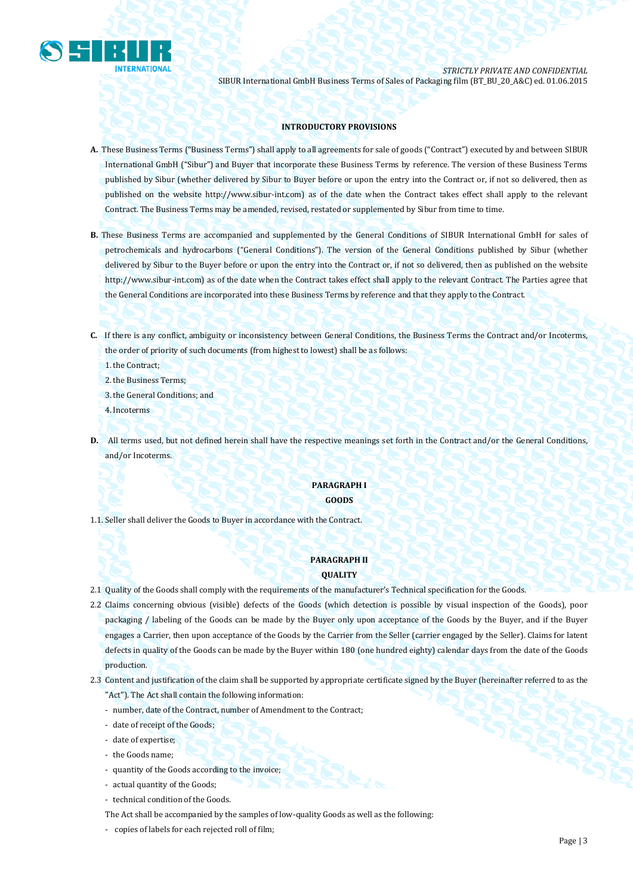

#### **INTRODUCTORY PROVISIONS**

- **A.** These Business Terms ("Business Terms") shall apply to all agreements for sale of goods ("Contract") executed by and between SIBUR International GmbH ("Sibur") and Buyer that incorporate these Business Terms by reference. The version of these Business Terms published by Sibur (whether delivered by Sibur to Buyer before or upon the entry into the Contract or, if not so delivered, then as published on the website [http://www.sibur-int.com\)](http://www.sibur-int.com/) as of the date when the Contract takes effect shall apply to the relevant Contract. The Business Terms may be amended, revised, restated or supplemented by Sibur from time to time.
- **B.** These Business Terms are accompanied and supplemented by the General Conditions of SIBUR International GmbH for sales of petrochemicals and hydrocarbons ("General Conditions"). The version of the General Conditions published by Sibur (whether delivered by Sibur to the Buyer before or upon the entry into the Contract or, if not so delivered, then as published on the website [http://www.sibur-int.com\)](http://www.sibur-int.com/) as of the date when the Contract takes effect shall apply to the relevant Contract. The Parties agree that the General Conditions are incorporated into these Business Terms by reference and that they apply to the Contract.
- **C.** If there is any conflict, ambiguity or inconsistency between General Conditions, the Business Terms the Contract and/or Incoterms, the order of priority of such documents (from highest to lowest) shall be as follows:
	- 1.the Contract;
	- 2.the Business Terms;
	- 3.the General Conditions; and
	- 4.Incoterms
- **D.** All terms used, but not defined herein shall have the respective meanings set forth in the Contract and/or the General Conditions, and/or Incoterms.

#### **PARAGRAPH I GOODS**

1.1. Seller shall deliver the Goods to Buyer in accordance with the Contract.

#### **PARAGRAPH II QUALITY**

- 2.1 Quality of the Goods shall comply with the requirements of the manufacturer's Technical specification for the Goods.
- 2.2 Claims concerning obvious (visible) defects of the Goods (which detection is possible by visual inspection of the Goods), poor packaging / labeling of the Goods can be made by the Buyer only upon acceptance of the Goods by the Buyer, and if the Buyer engages a Carrier, then upon acceptance of the Goods by the Carrier from the Seller (carrier engaged by the Seller). Claims for latent defects in quality of the Goods can be made by the Buyer within 180 (one hundred eighty) calendar days from the date of the Goods production.
- 2.3 Content and justification of the claim shall be supported by appropriate certificate signed by the Buyer (hereinafter referred to as the "Act"). The Act shall contain the following information:
	- number, date of the Contract, number of Amendment to the Contract;
	- date of receipt of the Goods;
	- date of expertise;
	- the Goods name;
	- quantity of the Goods according to the invoice;
	- actual quantity of the Goods;
	- technical condition of the Goods.
	- The Act shall be accompanied by the samples of low-quality Goods as well as the following:
	- copies of labels for each rejected roll of film;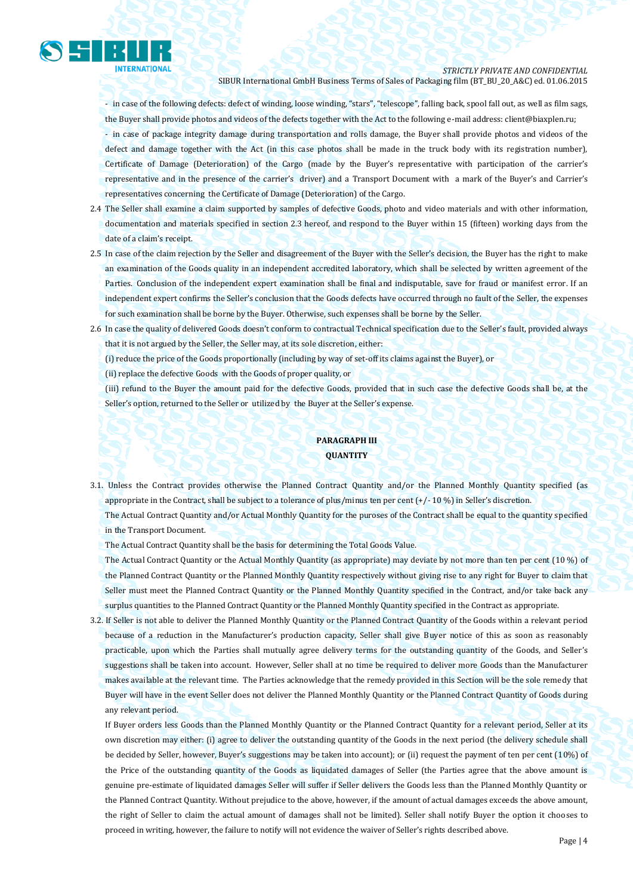

- in case of the following defects: defect of winding, loose winding, "stars", "telescope", falling back, spool fall out, as well as film sags, the Buyer shall provide photos and videos of the defects together with the Act to the following e-mail address: client@biaxplen.ru;

- in case of package integrity damage during transportation and rolls damage, the Buyer shall provide photos and videos of the defect and damage together with the Act (in this case photos shall be made in the truck body with its registration number), Certificate of Damage (Deterioration) of the Cargo (made by the Buyer's representative with participation of the carrier's representative and in the presence of the carrier's driver) and a Transport Document with a mark of the Buyer's and Carrier's representatives concerning the Certificate of Damage (Deterioration) of the Cargo.

- 2.4 The Seller shall examine a claim supported by samples of defective Goods, photo and video materials and with other information, documentation and materials specified in section 2.3 hereof, and respond to the Buyer within 15 (fifteen) working days from the date of a claim's receipt.
- 2.5 In case of the claim rejection by the Seller and disagreement of the Buyer with the Seller's decision, the Buyer has the right to make an examination of the Goods quality in an independent accredited laboratory, which shall be selected by written agreement of the Parties. Conclusion of the independent expert examination shall be final and indisputable, save for fraud or manifest error. If an independent expert confirms the Seller's conclusion that the Goods defects have occurred through no fault of the Seller, the expenses for such examination shall be borne by the Buyer. Otherwise, such expenses shall be borne by the Seller.
- 2.6 In case the quality of delivered Goods doesn't conform to contractual Technical specification due to the Seller's fault, provided always that it is not argued by the Seller, the Seller may, at its sole discretion, either:

(i) reduce the price of the Goods proportionally (including by way of set-off its claims against the Buyer), or

(ii) replace the defective Goods with the Goods of proper quality, or

(iii) refund to the Buyer the amount paid for the defective Goods, provided that in such case the defective Goods shall be, at the Seller's option, returned to the Seller or utilized by the Buyer at the Seller's expense.

### **PARAGRAPH III QUANTITY**

3.1. Unless the Contract provides otherwise the Planned Contract Quantity and/or the Planned Monthly Quantity specified (as appropriate in the Contract, shall be subject to a tolerance of plus/minus ten per cent (+/- 10 %) in Seller's discretion. The Actual Contract Quantity and/or Actual Monthly Quantity for the puroses of the Contract shall be equal to the quantity specified

in the Transport Document.

The Actual Contract Quantity shall be the basis for determining the Total Goods Value.

The Actual Contract Quantity or the Actual Monthly Quantity (as appropriate) may deviate by not more than ten per cent (10 %) of the Planned Contract Quantity or the Planned Monthly Quantity respectively without giving rise to any right for Buyer to claim that Seller must meet the Planned Contract Quantity or the Planned Monthly Quantity specified in the Contract, and/or take back any surplus quantities to the Planned Contract Quantity or the Planned Monthly Quantity specified in the Contract as appropriate.

3.2. If Seller is not able to deliver the Planned Monthly Quantity or the Planned Contract Quantity of the Goods within a relevant period because of a reduction in the Manufacturer's production capacity, Seller shall give Buyer notice of this as soon as reasonably practicable, upon which the Parties shall mutually agree delivery terms for the outstanding quantity of the Goods, and Seller's suggestions shall be taken into account. However, Seller shall at no time be required to deliver more Goods than the Manufacturer makes available at the relevant time. The Parties acknowledge that the remedy provided in this Section will be the sole remedy that Buyer will have in the event Seller does not deliver the Planned Monthly Quantity or the Planned Contract Quantity of Goods during any relevant period.

If Buyer orders less Goods than the Planned Monthly Quantity or the Planned Contract Quantity for a relevant period, Seller at its own discretion may either: (i) agree to deliver the outstanding quantity of the Goods in the next period (the delivery schedule shall be decided by Seller, however, Buyer's suggestions may be taken into account); or (ii) request the payment of ten per cent (10%) of the Price of the outstanding quantity of the Goods as liquidated damages of Seller (the Parties agree that the above amount is genuine pre-estimate of liquidated damages Seller will suffer if Seller delivers the Goods less than the Planned Monthly Quantity or the Planned Contract Quantity. Without prejudice to the above, however, if the amount of actual damages exceeds the above amount, the right of Seller to claim the actual amount of damages shall not be limited). Seller shall notify Buyer the option it chooses to proceed in writing, however, the failure to notify will not evidence the waiver of Seller's rights described above.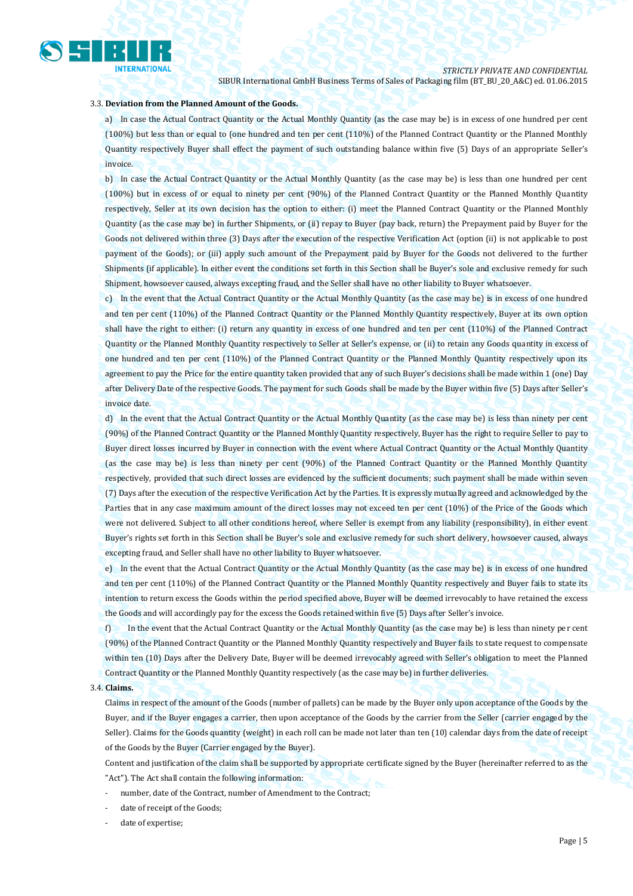

#### 3.3. **Deviation from the Planned Amount of the Goods.**

a) In case the Actual Contract Quantity or the Actual Monthly Quantity (as the case may be) is in excess of one hundred per cent (100%) but less than or equal to (one hundred and ten per cent (110%) of the Planned Contract Quantity or the Planned Monthly Quantity respectively Buyer shall effect the payment of such outstanding balance within five (5) Days of an appropriate Seller's invoice.

b) In case the Actual Contract Quantity or the Actual Monthly Quantity (as the case may be) is less than one hundred per cent (100%) but in excess of or equal to ninety per cent (90%) of the Planned Contract Quantity or the Planned Monthly Quantity respectively, Seller at its own decision has the option to either: (i) meet the Planned Contract Quantity or the Planned Monthly Quantity (as the case may be) in further Shipments, or (ii) repay to Buyer (pay back, return) the Prepayment paid by Buyer for the Goods not delivered within three (3) Days after the execution of the respective Verification Act (option (ii) is not applicable to post payment of the Goods); or (iii) apply such amount of the Prepayment paid by Buyer for the Goods not delivered to the further Shipments (if applicable). In either event the conditions set forth in this Section shall be Buyer's sole and exclusive remedy for such Shipment, howsoever caused, always excepting fraud, and the Seller shall have no other liability to Buyer whatsoever.

c) In the event that the Actual Contract Quantity or the Actual Monthly Quantity (as the case may be) is in excess of one hundred and ten per cent (110%) of the Planned Contract Quantity or the Planned Monthly Quantity respectively, Buyer at its own option shall have the right to either: (i) return any quantity in excess of one hundred and ten per cent (110%) of the Planned Contract Quantity or the Planned Monthly Quantity respectively to Seller at Seller's expense, or (ii) to retain any Goods quantity in excess of one hundred and ten per cent (110%) of the Planned Contract Quantity or the Planned Monthly Quantity respectively upon its agreement to pay the Price for the entire quantity taken provided that any of such Buyer's decisions shall be made within 1 (one) Day after Delivery Date of the respective Goods. The payment for such Goods shall be made by the Buyer within five (5) Days after Seller's invoice date.

d) In the event that the Actual Contract Quantity or the Actual Monthly Quantity (as the case may be) is less than ninety per cent (90%) of the Planned Contract Quantity or the Planned Monthly Quantity respectively, Buyer has the right to require Seller to pay to Buyer direct losses incurred by Buyer in connection with the event where Actual Contract Quantity or the Actual Monthly Quantity (as the case may be) is less than ninety per cent (90%) of the Planned Contract Quantity or the Planned Monthly Quantity respectively, provided that such direct losses are evidenced by the sufficient documents; such payment shall be made within seven (7) Days after the execution of the respective Verification Act by the Parties. It is expressly mutually agreed and acknowledged by the Parties that in any case maximum amount of the direct losses may not exceed ten per cent (10%) of the Price of the Goods which were not delivered. Subject to all other conditions hereof, where Seller is exempt from any liability (responsibility), in either event Buyer's rights set forth in this Section shall be Buyer's sole and exclusive remedy for such short delivery, howsoever caused, always excepting fraud, and Seller shall have no other liability to Buyer whatsoever.

e) In the event that the Actual Contract Quantity or the Actual Monthly Quantity (as the case may be) is in excess of one hundred and ten per cent (110%) of the Planned Contract Quantity or the Planned Monthly Quantity respectively and Buyer fails to state its intention to return excess the Goods within the period specified above, Buyer will be deemed irrevocably to have retained the excess the Goods and will accordingly pay for the excess the Goods retained within five (5) Days after Seller's invoice.

f) In the event that the Actual Contract Quantity or the Actual Monthly Quantity (as the case may be) is less than ninety per cent (90%) of the Planned Contract Quantity or the Planned Monthly Quantity respectively and Buyer fails to state request to compensate within ten (10) Days after the Delivery Date, Buyer will be deemed irrevocably agreed with Seller's obligation to meet the Planned Contract Quantity or the Planned Monthly Quantity respectively (as the case may be) in further deliveries.

#### 3.4. **Claims.**

Claims in respect of the amount of the Goods (number of pallets) can be made by the Buyer only upon acceptance of the Goods by the Buyer, and if the Buyer engages a carrier, then upon acceptance of the Goods by the carrier from the Seller (carrier engaged by the Seller). Claims for the Goods quantity (weight) in each roll can be made not later than ten (10) calendar days from the date of receipt of the Goods by the Buyer (Carrier engaged by the Buyer).

Content and justification of the claim shall be supported by appropriate certificate signed by the Buyer (hereinafter referred to as the "Act"). The Act shall contain the following information:

- number, date of the Contract, number of Amendment to the Contract;
- date of receipt of the Goods;
- date of expertise;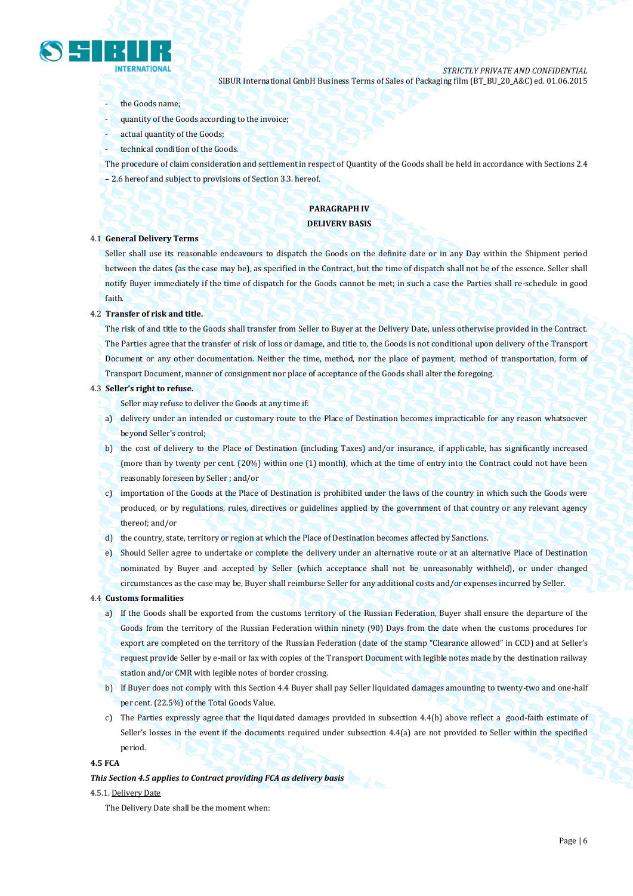

#### the Goods name;

- quantity of the Goods according to the invoice;
- actual quantity of the Goods;
- technical condition of the Goods.
- The procedure of claim consideration and settlement in respect of Quantity of the Goods shall be held in accordance with Sections 2.4 – 2.6 hereof and subject to provisions of Section 3.3. hereof.

#### **PARAGRAPH IV DELIVERY BASIS**

#### 4.1 **General Delivery Terms**

Seller shall use its reasonable endeavours to dispatch the Goods on the definite date or in any Day within the Shipment period between the dates (as the case may be), as specified in the Contract, but the time of dispatch shall not be of the essence. Seller shall notify Buyer immediately if the time of dispatch for the Goods cannot be met; in such a case the Parties shall re-schedule in good faith.

#### 4.2 **Transfer of risk and title.**

The risk of and title to the Goods shall transfer from Seller to Buyer at the Delivery Date, unless otherwise provided in the Contract. The Parties agree that the transfer of risk of loss or damage, and title to, the Goods is not conditional upon delivery of the Transport Document or any other documentation. Neither the time, method, nor the place of payment, method of transportation, form of Transport Document, manner of consignment nor place of acceptance of the Goods shall alter the foregoing.

#### 4.3 **Seller's right to refuse.**

Seller may refuse to deliver the Goods at any time if:

- a) delivery under an intended or customary route to the Place of Destination becomes impracticable for any reason whatsoever beyond Seller's control;
- b) the cost of delivery to the Place of Destination (including Taxes) and/or insurance, if applicable, has significantly increased (more than by twenty per cent. (20%) within one (1) month), which at the time of entry into the Contract could not have been reasonably foreseen by Seller ; and/or
- c) importation of the Goods at the Place of Destination is prohibited under the laws of the country in which such the Goods were produced, or by regulations, rules, directives or guidelines applied by the government of that country or any relevant agency thereof; and/or
- d) the country, state, territory or region at which the Place of Destination becomes affected by Sanctions.
- e) Should Seller agree to undertake or complete the delivery under an alternative route or at an alternative Place of Destination nominated by Buyer and accepted by Seller (which acceptance shall not be unreasonably withheld), or under changed circumstances as the case may be, Buyer shall reimburse Seller for any additional costs and/or expenses incurred by Seller.

#### 4.4 **Customs formalities**

- a) If the Goods shall be exported from the customs territory of the Russian Federation, Buyer shall ensure the departure of the Goods from the territory of the Russian Federation within ninety (90) Days from the date when the customs procedures for export are completed on the territory of the Russian Federation (date of the stamp "Clearance allowed" in CCD) and at Seller's request provide Seller by e-mail or fax with copies of the Transport Document with legible notes made by the destination railway station and/or CMR with legible notes of border crossing.
- b) If Buyer does not comply with this Section 4.4 Buyer shall pay Seller liquidated damages amounting to twenty-two and one-half per cent. (22.5%) of the Total Goods Value.
- c) The Parties expressly agree that the liquidated damages provided in subsection 4.4(b) above reflect a good-faith estimate of Seller's losses in the event if the documents required under subsection 4.4(a) are not provided to Seller within the specified period.

#### **4.5 FCA**

## *This Section 4.5 applies to Contract providing FCA as delivery basis*

#### 4.5.1. Delivery Date

The Delivery Date shall be the moment when: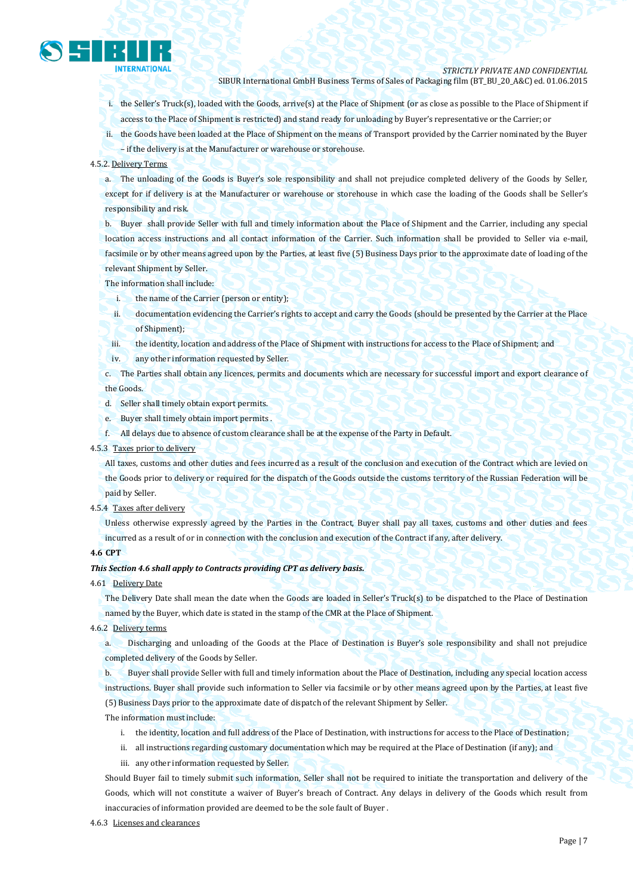

- i. the Seller's Truck(s), loaded with the Goods, arrive(s) at the Place of Shipment (or as close as possible to the Place of Shipment if access to the Place of Shipment is restricted) and stand ready for unloading by Buyer's representative or the Carrier; or
- ii. the Goods have been loaded at the Place of Shipment on the means of Transport provided by the Carrier nominated by the Buyer
- if the delivery is at the Manufacturer or warehouse or storehouse.

#### 4.5.2. Delivery Terms

a. The unloading of the Goods is Buyer's sole responsibility and shall not prejudice completed delivery of the Goods by Seller, except for if delivery is at the Manufacturer or warehouse or storehouse in which case the loading of the Goods shall be Seller's responsibility and risk.

b. Buyer shall provide Seller with full and timely information about the Place of Shipment and the Carrier, including any special location access instructions and all contact information of the Carrier. Such information shall be provided to Seller via e-mail, facsimile or by other means agreed upon by the Parties, at least five (5) Business Days prior to the approximate date of loading of the relevant Shipment by Seller.

The information shall include:

- i. the name of the Carrier (person or entity);
- ii. documentation evidencing the Carrier's rights to accept and carry the Goods (should be presented by the Carrier at the Place of Shipment);
- iii. the identity, location and address of the Place of Shipment with instructions for access to the Place of Shipment; and
- iv. any other information requested by Seller.

c. The Parties shall obtain any licences, permits and documents which are necessary for successful import and export clearance of the Goods.

- d. Seller shall timely obtain export permits.
- e. Buyer shall timely obtain import permits .
- f. All delays due to absence of custom clearance shall be at the expense of the Party in Default.

#### 4.5.3 Taxes prior to delivery

All taxes, customs and other duties and fees incurred as a result of the conclusion and execution of the Contract which are levied on the Goods prior to delivery or required for the dispatch of the Goods outside the customs territory of the Russian Federation will be paid by Seller.

4.5.4 Taxes after delivery

Unless otherwise expressly agreed by the Parties in the Contract, Buyer shall pay all taxes, customs and other duties and fees incurred as a result of or in connection with the conclusion and execution of the Contract if any, after delivery.

#### **4.6 CPT**

#### *This Section 4.6 shall apply to Contracts providing CPT as delivery basis.*

4.61 Delivery Date

The Delivery Date shall mean the date when the Goods are loaded in Seller's Truck(s) to be dispatched to the Place of Destination named by the Buyer, which date is stated in the stamp of the CMR at the Place of Shipment.

4.6.2 Delivery terms

a. Discharging and unloading of the Goods at the Place of Destination is Buyer's sole responsibility and shall not prejudice completed delivery of the Goods by Seller.

b. Buyer shall provide Seller with full and timely information about the Place of Destination, including any special location access instructions. Buyer shall provide such information to Seller via facsimile or by other means agreed upon by the Parties, at least five (5) Business Days prior to the approximate date of dispatch of the relevant Shipment by Seller.

The information must include:

- i. the identity, location and full address of the Place of Destination, with instructions for access to the Place of Destination;
- ii. all instructions regarding customary documentation which may be required at the Place of Destination (if any); and
- iii. any other information requested by Seller.

Should Buyer fail to timely submit such information, Seller shall not be required to initiate the transportation and delivery of the Goods, which will not constitute a waiver of Buyer's breach of Contract. Any delays in delivery of the Goods which result from inaccuracies of information provided are deemed to be the sole fault of Buyer .

#### 4.6.3 Licenses and clearances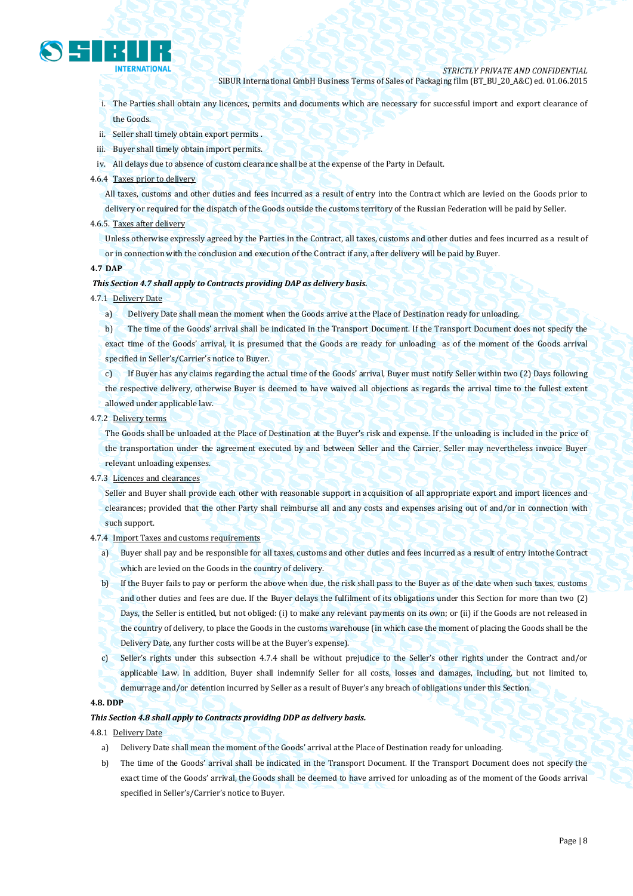

i. The Parties shall obtain any licences, permits and documents which are necessary for successful import and export clearance of the Goods.

- ii. Seller shall timely obtain export permits .
- iii. Buyer shall timely obtain import permits.
- iv. All delays due to absence of custom clearance shall be at the expense of the Party in Default.
- 4.6.4 Taxes prior to delivery

All taxes, customs and other duties and fees incurred as a result of entry into the Contract which are levied on the Goods prior to delivery or required for the dispatch of the Goods outside the customs territory of the Russian Federation will be paid by Seller.

#### 4.6.5. Taxes after delivery

Unless otherwise expressly agreed by the Parties in the Contract, all taxes, customs and other duties and fees incurred as a result of or in connection with the conclusion and execution of the Contract if any, after delivery will be paid by Buyer.

#### **4.7 DAP**

#### *This Section 4.7 shall apply to Contracts providing DAP as delivery basis.*

- 4.7.1 Delivery Date
	- a) Delivery Date shall mean the moment when the Goods arrive at the Place of Destination ready for unloading.

b) The time of the Goods' arrival shall be indicated in the Transport Document. If the Transport Document does not specify the exact time of the Goods' arrival, it is presumed that the Goods are ready for unloading as of the moment of the Goods arrival specified in Seller's/Carrier's notice to Buyer.

c) If Buyer has any claims regarding the actual time of the Goods' arrival, Buyer must notify Seller within two (2) Days following the respective delivery, otherwise Buyer is deemed to have waived all objections as regards the arrival time to the fullest extent allowed under applicable law.

4.7.2 Delivery terms

The Goods shall be unloaded at the Place of Destination at the Buyer's risk and expense. If the unloading is included in the price of the transportation under the agreement executed by and between Seller and the Carrier, Seller may nevertheless invoice Buyer relevant unloading expenses.

#### 4.7.3 Licences and clearances

Seller and Buyer shall provide each other with reasonable support in acquisition of all appropriate export and import licences and clearances; provided that the other Party shall reimburse all and any costs and expenses arising out of and/or in connection with such support.

- 4.7.4 Import Taxes and customs requirements
	- a) Buyer shall pay and be responsible for all taxes, customs and other duties and fees incurred as a result of entry intothe Contract which are levied on the Goods in the country of delivery.
	- b) If the Buyer fails to pay or perform the above when due, the risk shall pass to the Buyer as of the date when such taxes, customs and other duties and fees are due. If the Buyer delays the fulfilment of its obligations under this Section for more than two (2) Days, the Seller is entitled, but not obliged: (i) to make any relevant payments on its own; or (ii) if the Goods are not released in the country of delivery, to place the Goods in the customs warehouse (in which case the moment of placing the Goods shall be the Delivery Date, any further costs will be at the Buyer's expense).
	- c) Seller's rights under this subsection 4.7.4 shall be without prejudice to the Seller's other rights under the Contract and/or applicable Law. In addition, Buyer shall indemnify Seller for all costs, losses and damages, including, but not limited to, demurrage and/or detention incurred by Seller as a result of Buyer's any breach of obligations under this Section.

#### **4.8. DDP**

#### *This Section 4.8 shall apply to Contracts providing DDP as delivery basis.*

- 4.8.1 Delivery Date
	- a) Delivery Date shall mean the moment of the Goods' arrival at the Place of Destination ready for unloading.
	- b) The time of the Goods' arrival shall be indicated in the Transport Document. If the Transport Document does not specify the exact time of the Goods' arrival, the Goods shall be deemed to have arrived for unloading as of the moment of the Goods arrival specified in Seller's/Carrier's notice to Buyer.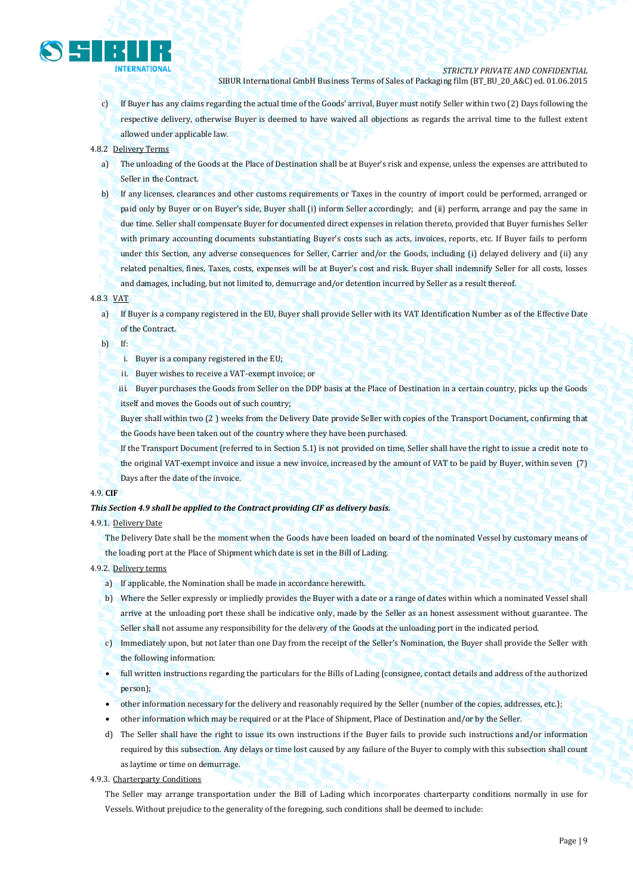

c) If Buyer has any claims regarding the actual time of the Goods' arrival, Buyer must notify Seller within two (2) Days following the respective delivery, otherwise Buyer is deemed to have waived all objections as regards the arrival time to the fullest extent allowed under applicable law.

#### 4.8.2 Delivery Terms

- a) The unloading of the Goods at the Place of Destination shall be at Buyer's risk and expense, unless the expenses are attributed to Seller in the Contract.
- b) If any licenses, clearances and other customs requirements or Taxes in the country of import could be performed, arranged or paid only by Buyer or on Buyer's side, Buyer shall (i) inform Seller accordingly; and (ii) perform, arrange and pay the same in due time. Seller shall compensate Buyer for documented direct expenses in relation thereto, provided that Buyer furnishes Seller with primary accounting documents substantiating Buyer's costs such as acts, invoices, reports, etc. If Buyer fails to perform under this Section, any adverse consequences for Seller, Carrier and/or the Goods, including (i) delayed delivery and (ii) any related penalties, fines, Taxes, costs, expenses will be at Buyer's cost and risk. Buyer shall indemnify Seller for all costs, losses and damages, including, but not limited to, demurrage and/or detention incurred by Seller as a result thereof.

#### 4.8.3 VAT

a) If Buyer is a company registered in the EU, Buyer shall provide Seller with its VAT Identification Number as of the Effective Date of the Contract.

b) If:

- i. Buyer is a company registered in the EU;
- ii. Buyer wishes to receive a VAT-exempt invoice; or
- iii. Buyer purchases the Goods from Seller on the DDP basis at the Place of Destination in a certain country, picks up the Goods itself and moves the Goods out of such country;
- Buyer shall within two (2 ) weeks from the Delivery Date provide Seller with copies of the Transport Document, confirming that the Goods have been taken out of the country where they have been purchased.
- If the Transport Document (referred to in Section 5.1) is not provided on time, Seller shall have the right to issue a credit note to the original VAT-exempt invoice and issue a new invoice, increased by the amount of VAT to be paid by Buyer, within seven (7) Days after the date of the invoice.

#### 4.9. **CIF**

#### *This Section 4.9 shall be applied to the Contract providing CIF as delivery basis.*

#### 4.9.1. Delivery Date

The Delivery Date shall be the moment when the Goods have been loaded on board of the nominated Vessel by customary means of the loading port at the Place of Shipment which date is set in the Bill of Lading.

#### 4.9.2. Delivery terms

- a) If applicable, the Nomination shall be made in accordance herewith.
- b) Where the Seller expressly or impliedly provides the Buyer with a date or a range of dates within which a nominated Vessel shall arrive at the unloading port these shall be indicative only, made by the Seller as an honest assessment without guarantee. The Seller shall not assume any responsibility for the delivery of the Goods at the unloading port in the indicated period.
- c) Immediately upon, but not later than one Day from the receipt of the Seller's Nomination, the Buyer shall provide the Seller with the following information:
- full written instructions regarding the particulars for the Bills of Lading (consignee, contact details and address of the authorized person);
- other information necessary for the delivery and reasonably required by the Seller (number of the copies, addresses, etc.);
- other information which may be required or at the Place of Shipment, Place of Destination and/or by the Seller.
- d) The Seller shall have the right to issue its own instructions if the Buyer fails to provide such instructions and/or information required by this subsection. Any delays or time lost caused by any failure of the Buyer to comply with this subsection shall count as laytime or time on demurrage.
- 4.9.3. Charterparty Conditions

The Seller may arrange transportation under the Bill of Lading which incorporates charterparty conditions normally in use for Vessels. Without prejudice to the generality of the foregoing, such conditions shall be deemed to include: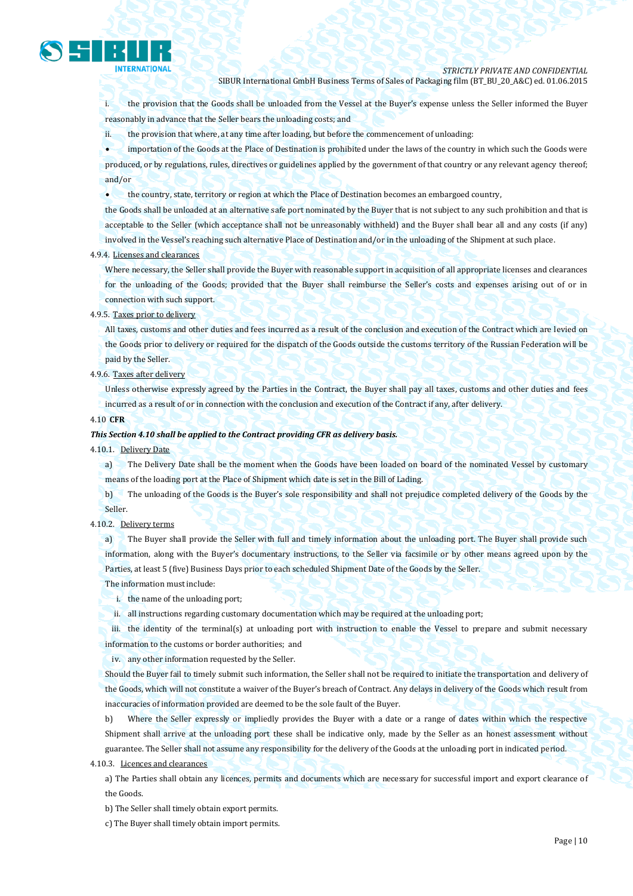

i. the provision that the Goods shall be unloaded from the Vessel at the Buyer's expense unless the Seller informed the Buyer reasonably in advance that the Seller bears the unloading costs; and

ii. the provision that where, at any time after loading, but before the commencement of unloading:

 importation of the Goods at the Place of Destination is prohibited under the laws of the country in which such the Goods were produced, or by regulations, rules, directives or guidelines applied by the government of that country or any relevant agency thereof; and/or

the country, state, territory or region at which the Place of Destination becomes an embargoed country,

the Goods shall be unloaded at an alternative safe port nominated by the Buyer that is not subject to any such prohibition and that is acceptable to the Seller (which acceptance shall not be unreasonably withheld) and the Buyer shall bear all and any costs (if any) involved in the Vessel's reaching such alternative Place of Destination and/or in the unloading of the Shipment at such place.

#### 4.9.4. Licenses and clearances

Where necessary, the Seller shall provide the Buyer with reasonable support in acquisition of all appropriate licenses and clearances for the unloading of the Goods; provided that the Buyer shall reimburse the Seller's costs and expenses arising out of or in connection with such support.

#### 4.9.5. Taxes prior to delivery

All taxes, customs and other duties and fees incurred as a result of the conclusion and execution of the Contract which are levied on the Goods prior to delivery or required for the dispatch of the Goods outside the customs territory of the Russian Federation will be paid by the Seller.

4.9.6. Taxes after delivery

Unless otherwise expressly agreed by the Parties in the Contract, the Buyer shall pay all taxes, customs and other duties and fees incurred as a result of or in connection with the conclusion and execution of the Contract if any, after delivery.

#### 4.10 **CFR**

#### *This Section 4.10 shall be applied to the Contract providing CFR as delivery basis.*

4.10.1. Delivery Date

a) The Delivery Date shall be the moment when the Goods have been loaded on board of the nominated Vessel by customary means of the loading port at the Place of Shipment which date is set in the Bill of Lading.

b) The unloading of the Goods is the Buyer's sole responsibility and shall not prejudice completed delivery of the Goods by the Seller.

4.10.2. Delivery terms

a) The Buyer shall provide the Seller with full and timely information about the unloading port. The Buyer shall provide such information, along with the Buyer's documentary instructions, to the Seller via facsimile or by other means agreed upon by the Parties, at least 5 (five) Business Days prior to each scheduled Shipment Date of the Goods by the Seller.

The information must include:

- i. the name of the unloading port;
- ii. all instructions regarding customary documentation which may be required at the unloading port;

iii. the identity of the terminal(s) at unloading port with instruction to enable the Vessel to prepare and submit necessary information to the customs or border authorities; and

iv. any other information requested by the Seller.

Should the Buyer fail to timely submit such information, the Seller shall not be required to initiate the transportation and delivery of the Goods, which will not constitute a waiver of the Buyer's breach of Contract. Any delays in delivery of the Goods which result from inaccuracies of information provided are deemed to be the sole fault of the Buyer.

b) Where the Seller expressly or impliedly provides the Buyer with a date or a range of dates within which the respective Shipment shall arrive at the unloading port these shall be indicative only, made by the Seller as an honest assessment without guarantee. The Seller shall not assume any responsibility for the delivery of the Goods at the unloading port in indicated period.

4.10.3. Licences and clearances

a) The Parties shall obtain any licences, permits and documents which are necessary for successful import and export clearance of the Goods.

b) The Seller shall timely obtain export permits.

c) The Buyer shall timely obtain import permits.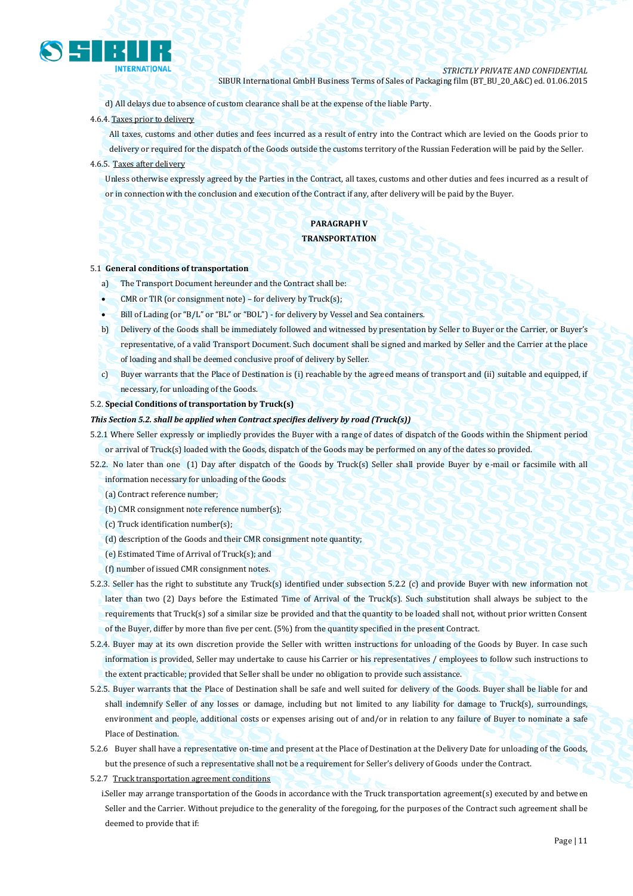

d) All delays due to absence of custom clearance shall be at the expense of the liable Party.

#### 4.6.4. Taxes prior to delivery

All taxes, customs and other duties and fees incurred as a result of entry into the Contract which are levied on the Goods prior to delivery or required for the dispatch of the Goods outside the customs territory of the Russian Federation will be paid by the Seller.

#### 4.6.5. Taxes after delivery

Unless otherwise expressly agreed by the Parties in the Contract, all taxes, customs and other duties and fees incurred as a result of or in connection with the conclusion and execution of the Contract if any, after delivery will be paid by the Buyer.

#### **PARAGRAPH V TRANSPORTATION**

#### 5.1 **General conditions of transportation**

- a) The Transport Document hereunder and the Contract shall be:
- CMR or TIR (or consignment note) for delivery by Truck(s);
- Bill of Lading (or "B/L" or "BL" or "BOL") for delivery by Vessel and Sea containers.
- b) Delivery of the Goods shall be immediately followed and witnessed by presentation by Seller to Buyer or the Carrier, or Buyer's representative, of a valid Transport Document. Such document shall be signed and marked by Seller and the Carrier at the place of loading and shall be deemed conclusive proof of delivery by Seller.
- c) Buyer warrants that the Place of Destination is (i) reachable by the agreed means of transport and (ii) suitable and equipped, if necessary, for unloading of the Goods.
- 5.2. **Special Conditions of transportation by Truck(s)**

#### *This Section 5.2. shall be applied when Contract specifies delivery by road (Truck(s))*

5.2.1 Where Seller expressly or impliedly provides the Buyer with a range of dates of dispatch of the Goods within the Shipment period or arrival of Truck(s) loaded with the Goods, dispatch of the Goods may be performed on any of the dates so provided.

52.2. No later than one (1) Day after dispatch of the Goods by Truck(s) Seller shall provide Buyer by e-mail or facsimile with all information necessary for unloading of the Goods:

- (a) Contract reference number;
- (b) CMR consignment note reference number(s);
- (c) Truck identification number(s);
- (d) description of the Goods and their CMR consignment note quantity;
- (e) Estimated Time of Arrival of Truck(s); and
- (f) number of issued CMR consignment notes.
- 5.2.3. Seller has the right to substitute any Truck(s) identified under subsection 5.2.2 (c) and provide Buyer with new information not later than two (2) Days before the Estimated Time of Arrival of the Truck(s). Such substitution shall always be subject to the requirements that Truck(s) sof a similar size be provided and that the quantity to be loaded shall not, without prior written Consent of the Buyer, differ by more than five per cent. (5%) from the quantity specified in the present Contract.
- 5.2.4. Buyer may at its own discretion provide the Seller with written instructions for unloading of the Goods by Buyer. In case such information is provided, Seller may undertake to cause his Carrier or his representatives / employees to follow such instructions to the extent practicable; provided that Seller shall be under no obligation to provide such assistance.
- 5.2.5. Buyer warrants that the Place of Destination shall be safe and well suited for delivery of the Goods. Buyer shall be liable for and shall indemnify Seller of any losses or damage, including but not limited to any liability for damage to Truck(s), surroundings, environment and people, additional costs or expenses arising out of and/or in relation to any failure of Buyer to nominate a safe Place of Destination.
- 5.2.6 Buyer shall have a representative on-time and present at the Place of Destination at the Delivery Date for unloading of the Goods, but the presence of such a representative shall not be a requirement for Seller's delivery of Goods under the Contract.
- 5.2.7 Truck transportation agreement conditions
	- i.Seller may arrange transportation of the Goods in accordance with the Truck transportation agreement(s) executed by and between Seller and the Carrier. Without prejudice to the generality of the foregoing, for the purposes of the Contract such agreement shall be deemed to provide that if: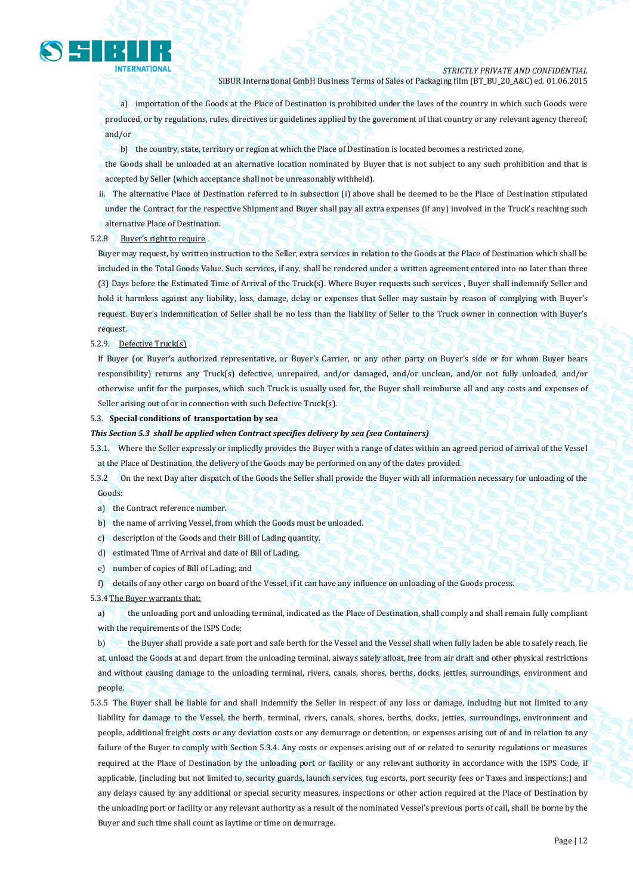

a) importation of the Goods at the Place of Destination is prohibited under the laws of the country in which such Goods were produced, or by regulations, rules, directives or guidelines applied by the government of that country or any relevant agency thereof; and/or

b) the country, state, territory or region at which the Place of Destination is located becomes a restricted zone,

the Goods shall be unloaded at an alternative location nominated by Buyer that is not subject to any such prohibition and that is accepted by Seller (which acceptance shall not be unreasonably withheld).

ii. The alternative Place of Destination referred to in subsection (i) above shall be deemed to be the Place of Destination stipulated under the Contract for the respective Shipment and Buyer shall pay all extra expenses (if any) involved in the Truck's reaching such alternative Place of Destination.

#### 5.2.8 Buyer's right to require

Buyer may request, by written instruction to the Seller, extra services in relation to the Goods at the Place of Destination which shall be included in the Total Goods Value. Such services, if any, shall be rendered under a written agreement entered into no later than three (3) Days before the Estimated Time of Arrival of the Truck(s). Where Buyer requests such services , Buyer shall indemnify Seller and hold it harmless against any liability, loss, damage, delay or expenses that Seller may sustain by reason of complying with Buyer's request. Buyer's indemnification of Seller shall be no less than the liability of Seller to the Truck owner in connection with Buyer's request.

5.2.9. Defective Truck(s)

If Buyer (or Buyer's authorized representative, or Buyer's Carrier, or any other party on Buyer's side or for whom Buyer bears responsibility) returns any Truck(s) defective, unrepaired, and/or damaged, and/or unclean, and/or not fully unloaded, and/or otherwise unfit for the purposes, which such Truck is usually used for, the Buyer shall reimburse all and any costs and expenses of Seller arising out of or in connection with such Defective Truck(s).

#### 5.3. **Special conditions of transportation by sea**

#### *This Section 5.3 shall be applied when Contract specifies delivery by sea (sea Containers)*

5.3.1. Where the Seller expressly or impliedly provides the Buyer with a range of dates within an agreed period of arrival of the Vessel at the Place of Destination, the delivery of the Goods may be performed on any of the dates provided.

5.3.2 On the next Day after dispatch of the Goods the Seller shall provide the Buyer with all information necessary for unloading of the Goods:

- a) the Contract reference number.
- b) the name of arriving Vessel, from which the Goods must be unloaded.
- c) description of the Goods and their Bill of Lading quantity.
- d) estimated Time of Arrival and date of Bill of Lading.
- e) number of copies of Bill of Lading; and

f) details of any other cargo on board of the Vessel, if it can have any influence on unloading of the Goods process.

#### 5.3.4 The Buyer warrants that:

a) the unloading port and unloading terminal, indicated as the Place of Destination, shall comply and shall remain fully compliant with the requirements of the ISPS Code;

b) the Buyer shall provide a safe port and safe berth for the Vessel and the Vessel shall when fully laden be able to safely reach, lie at, unload the Goods at and depart from the unloading terminal, always safely afloat, free from air draft and other physical restrictions and without causing damage to the unloading terminal, rivers, canals, shores, berths, docks, jetties, surroundings, environment and people.

5.3.5 The Buyer shall be liable for and shall indemnify the Seller in respect of any loss or damage, including but not limited to any liability for damage to the Vessel, the berth, terminal, rivers, canals, shores, berths, docks, jetties, surroundings, environment and people, additional freight costs or any deviation costs or any demurrage or detention, or expenses arising out of and in relation to any failure of the Buyer to comply with Section 5.3.4. Any costs or expenses arising out of or related to security regulations or measures required at the Place of Destination by the unloading port or facility or any relevant authority in accordance with the ISPS Code, if applicable, (including but not limited to, security guards, launch services, tug escorts, port security fees or Taxes and inspections;) and any delays caused by any additional or special security measures, inspections or other action required at the Place of Destination by the unloading port or facility or any relevant authority as a result of the nominated Vessel's previous ports of call, shall be borne by the Buyer and such time shall count as laytime or time on demurrage.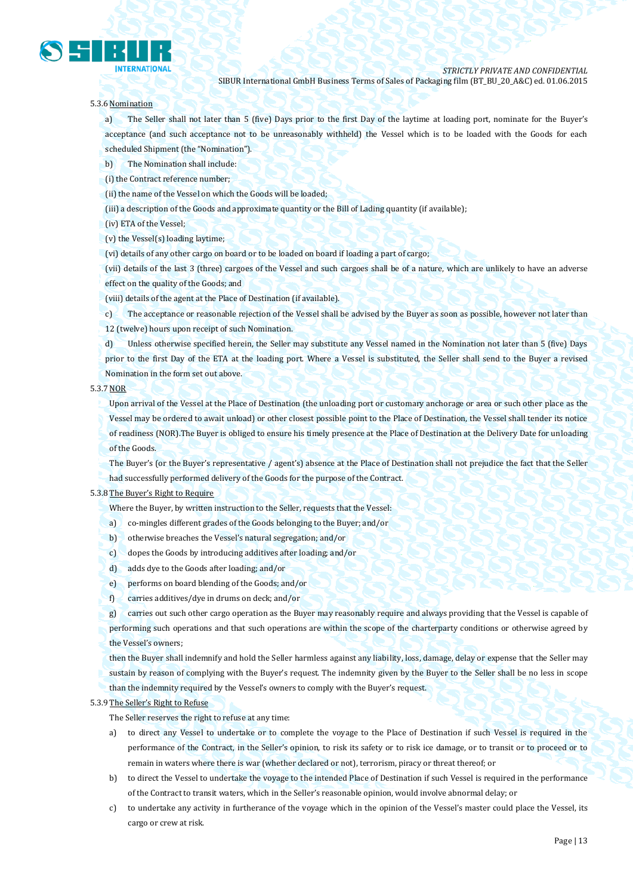

#### 5.3.6 Nomination

a) The Seller shall not later than 5 (five) Days prior to the first Day of the laytime at loading port, nominate for the Buyer's acceptance (and such acceptance not to be unreasonably withheld) the Vessel which is to be loaded with the Goods for each scheduled Shipment (the "Nomination").

b) The Nomination shall include:

(i) the Contract reference number;

(ii) the name of the Vessel on which the Goods will be loaded;

(iii) a description of the Goods and approximate quantity or the Bill of Lading quantity (if available);

(iv) ETA of the Vessel;

(v) the Vessel(s) loading laytime;

(vi) details of any other cargo on board or to be loaded on board if loading a part of cargo;

(vii) details of the last 3 (three) cargoes of the Vessel and such cargoes shall be of a nature, which are unlikely to have an adverse effect on the quality of the Goods; and

(viii) details of the agent at the Place of Destination (if available).

c) The acceptance or reasonable rejection of the Vessel shall be advised by the Buyer as soon as possible, however not later than 12 (twelve) hours upon receipt of such Nomination.

d) Unless otherwise specified herein, the Seller may substitute any Vessel named in the Nomination not later than 5 (five) Days prior to the first Day of the ETA at the loading port. Where a Vessel is substituted, the Seller shall send to the Buyer a revised Nomination in the form set out above.

#### 5.3.7 NOR

Upon arrival of the Vessel at the Place of Destination (the unloading port or customary anchorage or area or such other place as the Vessel may be ordered to await unload) or other closest possible point to the Place of Destination, the Vessel shall tender its notice of readiness (NOR).The Buyer is obliged to ensure his timely presence at the Place of Destination at the Delivery Date for unloading of the Goods.

The Buyer's (or the Buyer's representative / agent's) absence at the Place of Destination shall not prejudice the fact that the Seller

had successfully performed delivery of the Goods for the purpose of the Contract.

#### 5.3.8 The Buyer's Right to Require

Where the Buyer, by written instruction to the Seller, requests that the Vessel:

- a) co-mingles different grades of the Goods belonging to the Buyer; and/or
- b) otherwise breaches the Vessel's natural segregation; and/or
- c) dopes the Goods by introducing additives after loading; and/or
- d) adds dye to the Goods after loading; and/or
- e) performs on board blending of the Goods; and/or
- f) carries additives/dye in drums on deck; and/or

g) carries out such other cargo operation as the Buyer may reasonably require and always providing that the Vessel is capable of performing such operations and that such operations are within the scope of the charterparty conditions or otherwise agreed by the Vessel's owners;

then the Buyer shall indemnify and hold the Seller harmless against any liability, loss, damage, delay or expense that the Seller may sustain by reason of complying with the Buyer's request. The indemnity given by the Buyer to the Seller shall be no less in scope than the indemnity required by the Vessel's owners to comply with the Buyer's request.

#### 5.3.9 The Seller's Right to Refuse

The Seller reserves the right to refuse at any time:

- a) to direct any Vessel to undertake or to complete the voyage to the Place of Destination if such Vessel is required in the performance of the Contract, in the Seller's opinion, to risk its safety or to risk ice damage, or to transit or to proceed or to remain in waters where there is war (whether declared or not), terrorism, piracy or threat thereof; or
- b) to direct the Vessel to undertake the voyage to the intended Place of Destination if such Vessel is required in the performance of the Contract to transit waters, which in the Seller's reasonable opinion, would involve abnormal delay; or
- c) to undertake any activity in furtherance of the voyage which in the opinion of the Vessel's master could place the Vessel, its cargo or crew at risk.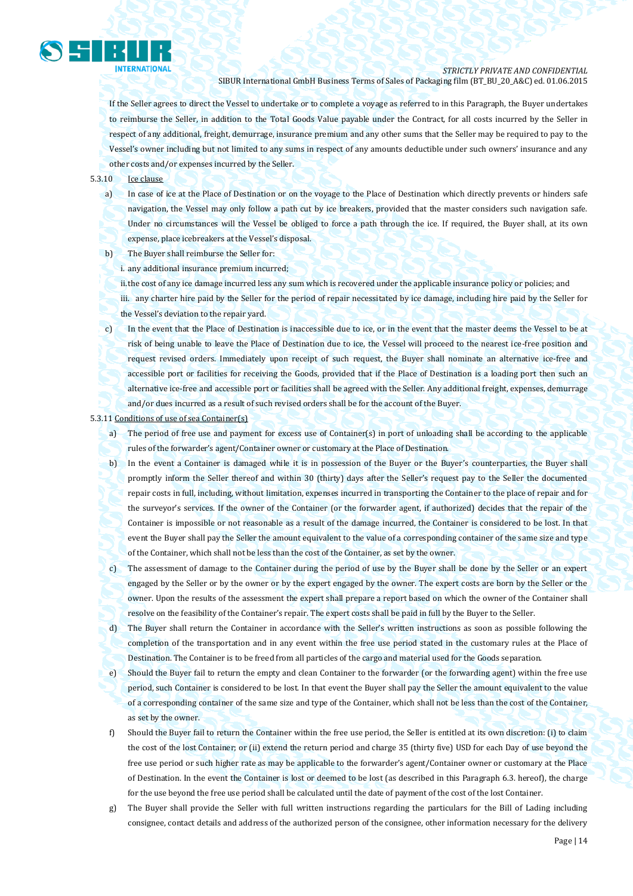

If the Seller agrees to direct the Vessel to undertake or to complete a voyage as referred to in this Paragraph, the Buyer undertakes to reimburse the Seller, in addition to the Total Goods Value payable under the Contract, for all costs incurred by the Seller in respect of any additional, freight, demurrage, insurance premium and any other sums that the Seller may be required to pay to the Vessel's owner including but not limited to any sums in respect of any amounts deductible under such owners' insurance and any other costs and/or expenses incurred by the Seller.

#### 5.3.10 Ice clause

- a) In case of ice at the Place of Destination or on the voyage to the Place of Destination which directly prevents or hinders safe navigation, the Vessel may only follow a path cut by ice breakers, provided that the master considers such navigation safe. Under no circumstances will the Vessel be obliged to force a path through the ice. If required, the Buyer shall, at its own expense, place icebreakers at the Vessel's disposal.
- b) The Buyer shall reimburse the Seller for:
	- i. any additional insurance premium incurred;

ii.the cost of any ice damage incurred less any sum which is recovered under the applicable insurance policy or policies; and iii. any charter hire paid by the Seller for the period of repair necessitated by ice damage, including hire paid by the Seller for the Vessel's deviation to the repair yard.

c) In the event that the Place of Destination is inaccessible due to ice, or in the event that the master deems the Vessel to be at risk of being unable to leave the Place of Destination due to ice, the Vessel will proceed to the nearest ice-free position and request revised orders. Immediately upon receipt of such request, the Buyer shall nominate an alternative ice-free and accessible port or facilities for receiving the Goods, provided that if the Place of Destination is a loading port then such an alternative ice-free and accessible port or facilities shall be agreed with the Seller. Any additional freight, expenses, demurrage and/or dues incurred as a result of such revised orders shall be for the account of the Buyer.

#### 5.3.11 Conditions of use of sea Container(s)

- a) The period of free use and payment for excess use of Container(s) in port of unloading shall be according to the applicable rules of the forwarder's agent/Container owner or customary at the Place of Destination.
- b) In the event a Container is damaged while it is in possession of the Buyer or the Buyer's counterparties, the Buyer shall promptly inform the Seller thereof and within 30 (thirty) days after the Seller's request pay to the Seller the documented repair costs in full, including, without limitation, expenses incurred in transporting the Container to the place of repair and for the surveyor's services. If the owner of the Container (or the forwarder agent, if authorized) decides that the repair of the Container is impossible or not reasonable as a result of the damage incurred, the Container is considered to be lost. In that event the Buyer shall pay the Seller the amount equivalent to the value of a corresponding container of the same size and type of the Container, which shall not be less than the cost of the Container, as set by the owner.
- c) The assessment of damage to the Container during the period of use by the Buyer shall be done by the Seller or an expert engaged by the Seller or by the owner or by the expert engaged by the owner. The expert costs are born by the Seller or the owner. Upon the results of the assessment the expert shall prepare a report based on which the owner of the Container shall resolve on the feasibility of the Container's repair. The expert costs shall be paid in full by the Buyer to the Seller.
- d) The Buyer shall return the Container in accordance with the Seller's written instructions as soon as possible following the completion of the transportation and in any event within the free use period stated in the customary rules at the Place of Destination. The Container is to be freed from all particles of the cargo and material used for the Goods separation.
- e) Should the Buyer fail to return the empty and clean Container to the forwarder (or the forwarding agent) within the free use period, such Container is considered to be lost. In that event the Buyer shall pay the Seller the amount equivalent to the value of a corresponding container of the same size and type of the Container, which shall not be less than the cost of the Container, as set by the owner.
- f) Should the Buyer fail to return the Container within the free use period, the Seller is entitled at its own discretion: (i) to claim the cost of the lost Container; or (ii) extend the return period and charge 35 (thirty five) USD for each Day of use beyond the free use period or such higher rate as may be applicable to the forwarder's agent/Container owner or customary at the Place of Destination. In the event the Container is lost or deemed to be lost (as described in this Paragraph 6.3. hereof), the charge for the use beyond the free use period shall be calculated until the date of payment of the cost of the lost Container.
- g) The Buyer shall provide the Seller with full written instructions regarding the particulars for the Bill of Lading including consignee, contact details and address of the authorized person of the consignee, other information necessary for the delivery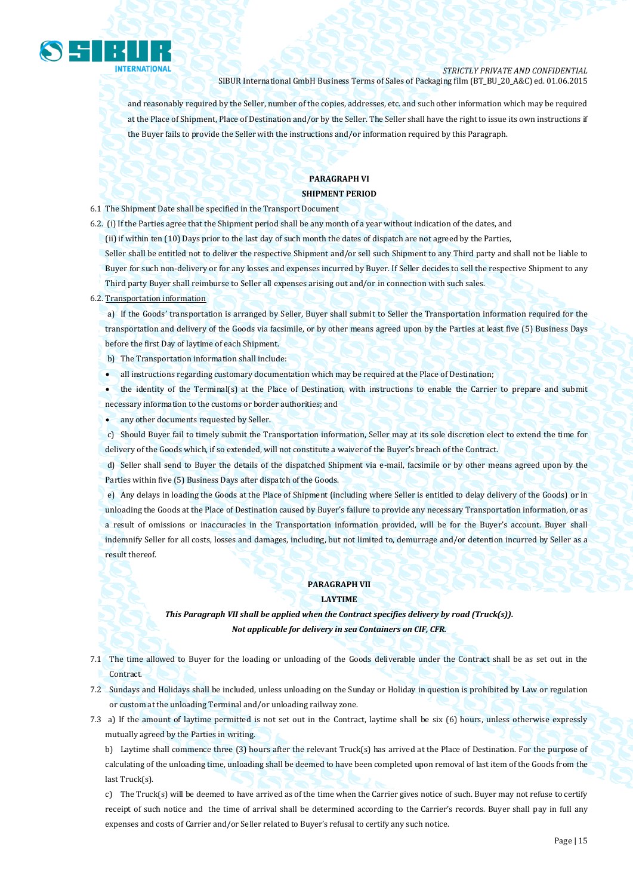

and reasonably required by the Seller, number of the copies, addresses, etc. and such other information which may be required at the Place of Shipment, Place of Destination and/or by the Seller. The Seller shall have the right to issue its own instructions if the Buyer fails to provide the Seller with the instructions and/or information required by this Paragraph.

#### **PARAGRAPH VI SHIPMENT PERIOD**

6.1 The Shipment Date shall be specified in the Transport Document

6.2. (i) If the Parties agree that the Shipment period shall be any month of a year without indication of the dates, and

(ii) if within ten (10) Days prior to the last day of such month the dates of dispatch are not agreed by the Parties,

Seller shall be entitled not to deliver the respective Shipment and/or sell such Shipment to any Third party and shall not be liable to Buyer for such non-delivery or for any losses and expenses incurred by Buyer. If Seller decides to sell the respective Shipment to any Third party Buyer shall reimburse to Seller all expenses arising out and/or in connection with such sales.

#### 6.2. Transportation information

a) If the Goods' transportation is arranged by Seller, Buyer shall submit to Seller the Transportation information required for the transportation and delivery of the Goods via facsimile, or by other means agreed upon by the Parties at least five (5) Business Days before the first Day of laytime of each Shipment.

b) The Transportation information shall include:

- all instructions regarding customary documentation which may be required at the Place of Destination;
- the identity of the Terminal(s) at the Place of Destination, with instructions to enable the Carrier to prepare and submit necessary information to the customs or border authorities; and

any other documents requested by Seller.

c) Should Buyer fail to timely submit the Transportation information, Seller may at its sole discretion elect to extend the time for delivery of the Goods which, if so extended, will not constitute a waiver of the Buyer's breach of the Contract.

d) Seller shall send to Buyer the details of the dispatched Shipment via e-mail, facsimile or by other means agreed upon by the Parties within five (5) Business Days after dispatch of the Goods.

e) Any delays in loading the Goods at the Place of Shipment (including where Seller is entitled to delay delivery of the Goods) or in unloading the Goods at the Place of Destination caused by Buyer's failure to provide any necessary Transportation information, or as a result of omissions or inaccuracies in the Transportation information provided, will be for the Buyer's account. Buyer shall indemnify Seller for all costs, losses and damages, including, but not limited to, demurrage and/or detention incurred by Seller as a result thereof.

#### **PARAGRAPH VII**

#### **LAYTIME**

*This Paragraph VII shall be applied when the Contract specifies delivery by road (Truck(s)). Not applicable for delivery in sea Containers on CIF, CFR.*

- 7.1 The time allowed to Buyer for the loading or unloading of the Goods deliverable under the Contract shall be as set out in the Contract.
- 7.2 Sundays and Holidays shall be included, unless unloading on the Sunday or Holiday in question is prohibited by Law or regulation or custom at the unloading Terminal and/or unloading railway zone.
- 7.3 a) If the amount of laytime permitted is not set out in the Contract, laytime shall be six (6) hours, unless otherwise expressly mutually agreed by the Parties in writing.

b) Laytime shall commence three (3) hours after the relevant Truck(s) has arrived at the Place of Destination. For the purpose of calculating of the unloading time, unloading shall be deemed to have been completed upon removal of last item of the Goods from the last Truck(s).

c) The Truck(s) will be deemed to have arrived as of the time when the Carrier gives notice of such. Buyer may not refuse to certify receipt of such notice and the time of arrival shall be determined according to the Carrier's records. Buyer shall pay in full any expenses and costs of Carrier and/or Seller related to Buyer's refusal to certify any such notice.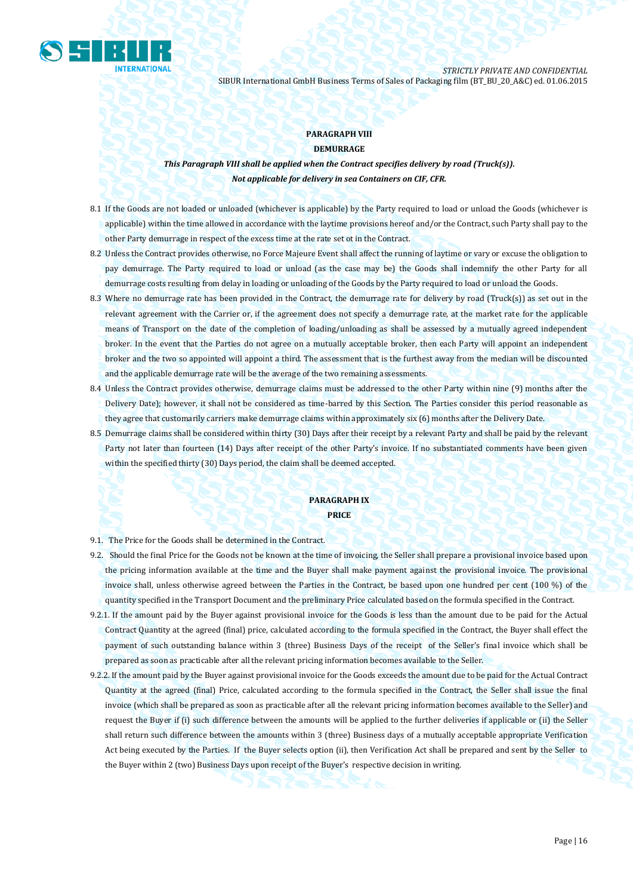

#### **PARAGRAPH VIII DEMURRAGE**

*This Paragraph VIII shall be applied when the Contract specifies delivery by road (Truck(s)). Not applicable for delivery in sea Containers on CIF, CFR.*

- 8.1 If the Goods are not loaded or unloaded (whichever is applicable) by the Party required to load or unload the Goods (whichever is applicable) within the time allowed in accordance with the laytime provisions hereof and/or the Contract, such Party shall pay to the other Party demurrage in respect of the excess time at the rate set ot in the Contract.
- 8.2 Unless the Contract provides otherwise, no Force Majeure Event shall affect the running of laytime or vary or excuse the obligation to pay demurrage. The Party required to load or unload (as the case may be) the Goods shall indemnify the other Party for all demurrage costs resulting from delay in loading or unloading of the Goods by the Party required to load or unload the Goods.
- 8.3 Where no demurrage rate has been provided in the Contract, the demurrage rate for delivery by road (Truck(s)) as set out in the relevant agreement with the Carrier or, if the agreement does not specify a demurrage rate, at the market rate for the applicable means of Transport on the date of the completion of loading/unloading as shall be assessed by a mutually agreed independent broker. In the event that the Parties do not agree on a mutually acceptable broker, then each Party will appoint an independent broker and the two so appointed will appoint a third. The assessment that is the furthest away from the median will be discounted and the applicable demurrage rate will be the average of the two remaining assessments.
- 8.4 Unless the Contract provides otherwise, demurrage claims must be addressed to the other Party within nine (9) months after the Delivery Date); however, it shall not be considered as time-barred by this Section. The Parties consider this period reasonable as they agree that customarily carriers make demurrage claims within approximately six (6) months after the Delivery Date.
- 8.5 Demurrage claims shall be considered within thirty (30) Days after their receipt by a relevant Party and shall be paid by the relevant Party not later than fourteen (14) Days after receipt of the other Party's invoice. If no substantiated comments have been given within the specified thirty (30) Days period, the claim shall be deemed accepted.

#### **PARAGRAPH IX PRICE**

- 9.1. The Price for the Goods shall be determined in the Contract.
- 9.2. Should the final Price for the Goods not be known at the time of invoicing, the Seller shall prepare a provisional invoice based upon the pricing information available at the time and the Buyer shall make payment against the provisional invoice. The provisional invoice shall, unless otherwise agreed between the Parties in the Contract, be based upon one hundred per cent (100 %) of the quantity specified in the Transport Document and the preliminary Price calculated based on the formula specified in the Contract.
- 9.2.1. If the amount paid by the Buyer against provisional invoice for the Goods is less than the amount due to be paid for the Actual Contract Quantity at the agreed (final) price, calculated according to the formula specified in the Contract, the Buyer shall effect the payment of such outstanding balance within 3 (three) Business Days of the receipt of the Seller's final invoice which shall be prepared as soon as practicable after all the relevant pricing information becomes available to the Seller.
- 9.2.2. If the amount paid by the Buyer against provisional invoice for the Goods exceeds the amount due to be paid for the Actual Contract Quantity at the agreed (final) Price, calculated according to the formula specified in the Contract, the Seller shall issue the final invoice (which shall be prepared as soon as practicable after all the relevant pricing information becomes available to the Seller) and request the Buyer if (i) such difference between the amounts will be applied to the further deliveries if applicable or (ii) the Seller shall return such difference between the amounts within 3 (three) Business days of a mutually acceptable appropriate Verification Act being executed by the Parties. If the Buyer selects option (ii), then Verification Act shall be prepared and sent by the Seller to the Buyer within 2 (two) Business Days upon receipt of the Buyer's respective decision in writing.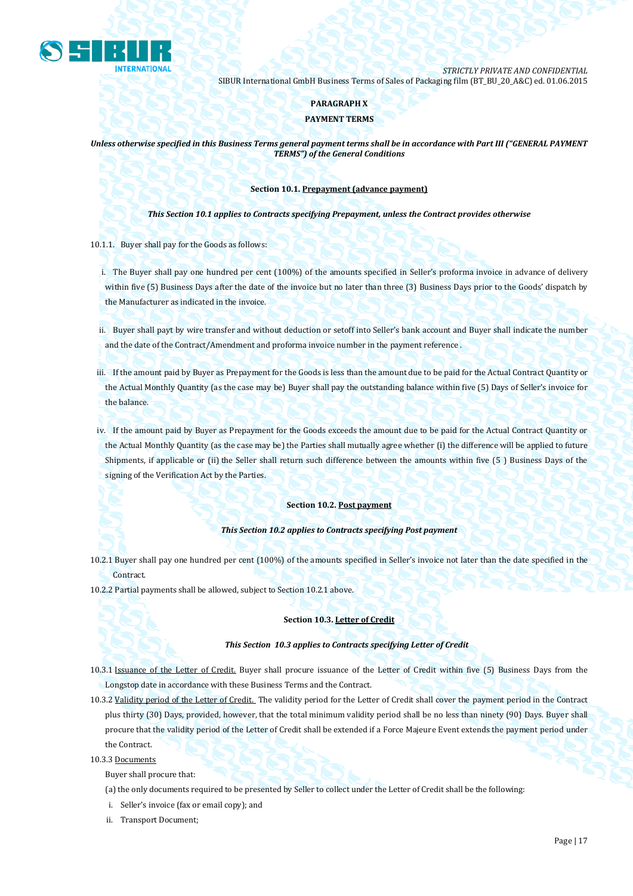

#### **PARAGRAPH X**

#### **PAYMENT TERMS**

*Unless otherwise specified in this Business Terms general payment terms shall be in accordance with Part III ("GENERAL PAYMENT TERMS") of the General Conditions*

#### **Section 10.1. Prepayment (advance payment)**

*This Section 10.1 applies to Contracts specifying Prepayment, unless the Contract provides otherwise*

10.1.1. Buyer shall pay for the Goods as follows:

i. The Buyer shall pay one hundred per cent (100%) of the amounts specified in Seller's proforma invoice in advance of delivery within five (5) Business Days after the date of the invoice but no later than three (3) Business Days prior to the Goods' dispatch by the Manufacturer as indicated in the invoice.

ii. Buyer shall payt by wire transfer and without deduction or setoff into Seller's bank account and Buyer shall indicate the number and the date of the Contract/Amendment and proforma invoice number in the payment reference .

iii. If the amount paid by Buyer as Prepayment for the Goods is less than the amount due to be paid for the Actual Contract Quantity or the Actual Monthly Quantity (as the case may be) Buyer shall pay the outstanding balance within five (5) Days of Seller's invoice for the balance.

iv. If the amount paid by Buyer as Prepayment for the Goods exceeds the amount due to be paid for the Actual Contract Quantity or the Actual Monthly Quantity (as the case may be) the Parties shall mutually agree whether (i) the difference will be applied to future Shipments, if applicable or (ii) the Seller shall return such difference between the amounts within five (5 ) Business Days of the signing of the Verification Act by the Parties.

#### **Section 10.2. Post payment**

#### *This Section 10.2 applies to Contracts specifying Post payment*

- 10.2.1 Buyer shall pay one hundred per cent (100%) of the amounts specified in Seller's invoice not later than the date specified in the Contract.
- 10.2.2 Partial payments shall be allowed, subject to Section 10.2.1 above.

#### **Section 10.3. Letter of Credit**

#### *This Section 10.3 applies to Contracts specifying Letter of Credit*

- 10.3.1 Issuance of the Letter of Credit. Buyer shall procure issuance of the Letter of Credit within five (5) Business Days from the Longstop date in accordance with these Business Terms and the Contract.
- 10.3.2 Validity period of the Letter of Credit. The validity period for the Letter of Credit shall cover the payment period in the Contract plus thirty (30) Days, provided, however, that the total minimum validity period shall be no less than ninety (90) Days. Buyer shall procure that the validity period of the Letter of Credit shall be extended if a Force Majeure Event extends the payment period under the Contract.
- 10.3.3 Documents

Buyer shall procure that:

- (a) the only documents required to be presented by Seller to collect under the Letter of Credit shall be the following:
- i. Seller's invoice (fax or email copy); and
- ii. Transport Document;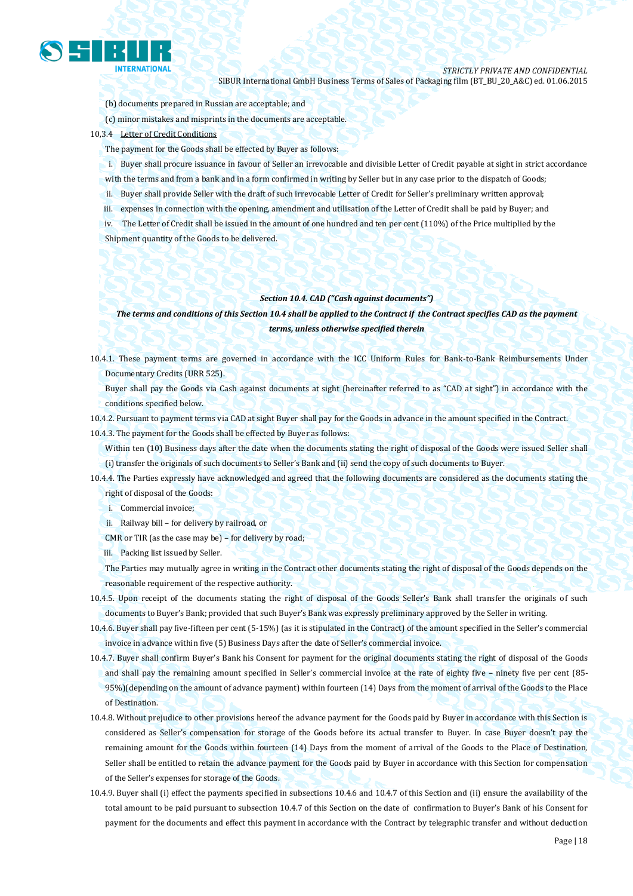

- (b) documents prepared in Russian are acceptable; and
- (c) minor mistakes and misprints in the documents are acceptable.
- 10,3.4 Letter of Credit Conditions
	- The payment for the Goods shall be effected by Buyer as follows:
	- i. Buyer shall procure issuance in favour of Seller an irrevocable and divisible Letter of Credit payable at sight in strict accordance with the terms and from a bank and in a form confirmed in writing by Seller but in any case prior to the dispatch of Goods;
	- ii. Buyer shall provide Seller with the draft of such irrevocable Letter of Credit for Seller's preliminary written approval;
	- iii. expenses in connection with the opening, amendment and utilisation of the Letter of Credit shall be paid by Buyer; and
	- iv. The Letter of Credit shall be issued in the amount of one hundred and ten per cent (110%) of the Price multiplied by the Shipment quantity of the Goods to be delivered.

#### *Section 10.4. CAD ("Cash against documents")*

#### *The terms and conditions of this Section 10.4 shall be applied to the Contract if the Contract specifies CAD as the payment terms, unless otherwise specified therein*

- 10.4.1. These payment terms are governed in accordance with the ICC Uniform Rules for Bank-to-Bank Reimbursements Under Documentary Credits (URR 525).
	- Buyer shall pay the Goods via Cash against documents at sight (hereinafter referred to as "CAD at sight") in accordance with the conditions specified below.
- 10.4.2. Pursuant to payment terms via CAD at sight Buyer shall pay for the Goods in advance in the amount specified in the Contract.

10.4.3. The payment for the Goods shall be effected by Buyer as follows:

Within ten (10) Business days after the date when the documents stating the right of disposal of the Goods were issued Seller shall (i) transfer the originals of such documents to Seller's Bank and (ii) send the copy of such documents to Buyer.

- 10.4.4. The Parties expressly have acknowledged and agreed that the following documents are considered as the documents stating the right of disposal of the Goods:
	- i. Commercial invoice;
	- ii. Railway bill for delivery by railroad, or
	- CMR or TIR (as the case may be) for delivery by road;
	- iii. Packing list issued by Seller.

The Parties may mutually agree in writing in the Contract other documents stating the right of disposal of the Goods depends on the reasonable requirement of the respective authority.

- 10.4.5. Upon receipt of the documents stating the right of disposal of the Goods Seller's Bank shall transfer the originals of such documents to Buyer's Bank; provided that such Buyer's Bank was expressly preliminary approved by the Seller in writing.
- 10.4.6. Buyer shall pay five-fifteen per cent (5-15%) (as it is stipulated in the Contract) of the amount specified in the Seller's commercial invoice in advance within five (5) Business Days after the date of Seller's commercial invoice.
- 10.4.7. Buyer shall confirm Buyer's Bank his Consent for payment for the original documents stating the right of disposal of the Goods and shall pay the remaining amount specified in Seller's commercial invoice at the rate of eighty five – ninety five per cent (85- 95%)(depending on the amount of advance payment) within fourteen (14) Days from the moment of arrival of the Goods to the Place of Destination.
- 10.4.8. Without prejudice to other provisions hereof the advance payment for the Goods paid by Buyer in accordance with this Section is considered as Seller's compensation for storage of the Goods before its actual transfer to Buyer. In case Buyer doesn't pay the remaining amount for the Goods within fourteen (14) Days from the moment of arrival of the Goods to the Place of Destination, Seller shall be entitled to retain the advance payment for the Goods paid by Buyer in accordance with this Section for compensation of the Seller's expenses for storage of the Goods.
- 10.4.9. Buyer shall (i) effect the payments specified in subsections 10.4.6 and 10.4.7 of this Section and (ii) ensure the availability of the total amount to be paid pursuant to subsection 10.4.7 of this Section on the date of confirmation to Buyer's Bank of his Consent for payment for the documents and effect this payment in accordance with the Contract by telegraphic transfer and without deduction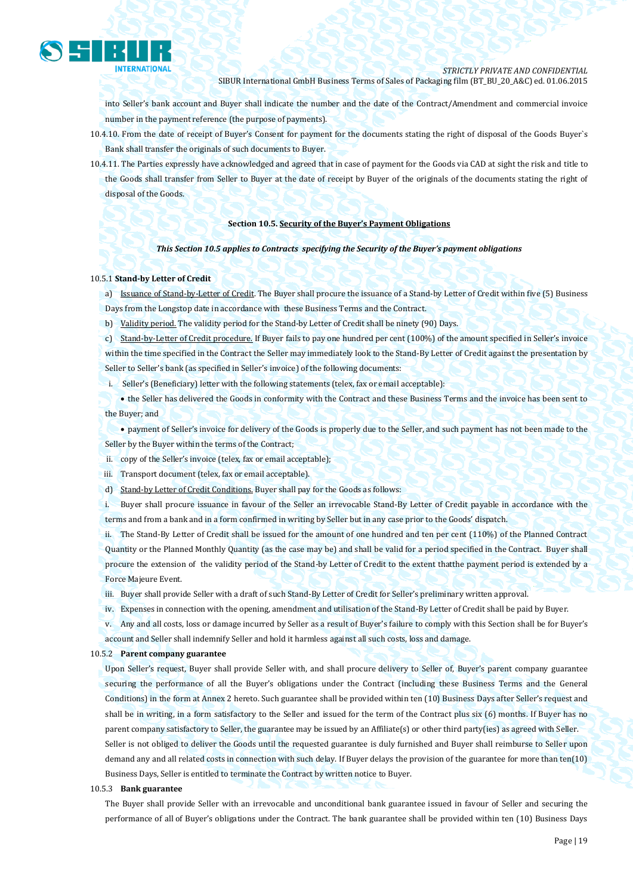

into Seller's bank account and Buyer shall indicate the number and the date of the Contract/Amendment and commercial invoice number in the payment reference (the purpose of payments).

- 10.4.10. From the date of receipt of Buyer's Consent for payment for the documents stating the right of disposal of the Goods Buyer`s Bank shall transfer the originals of such documents to Buyer.
- 10.4.11. The Parties expressly have acknowledged and agreed that in case of payment for the Goods via CAD at sight the risk and title to the Goods shall transfer from Seller to Buyer at the date of receipt by Buyer of the originals of the documents stating the right of disposal of the Goods.

#### **Section 10.5. Security of the Buyer's Payment Obligations**

#### *This Section 10.5 applies to Contracts specifying the Security of the Buyer's payment obligations*

#### 10.5.1 **Stand-by Letter of Credit**

a) Issuance of Stand-by-Letter of Credit. The Buyer shall procure the issuance of a Stand-by Letter of Credit within five (5) Business Days from the Longstop date in accordance with these Business Terms and the Contract.

b) Validity period. The validity period for the Stand-by Letter of Credit shall be ninety (90) Days.

c) Stand-by-Letter of Credit procedure. If Buyer fails to pay one hundred per cent (100%) of the amount specified in Seller's invoice within the time specified in the Contract the Seller may immediately look to the Stand-By Letter of Credit against the presentation by Seller to Seller's bank (as specified in Seller's invoice) of the following documents:

i. Seller's (Beneficiary) letter with the following statements (telex, fax or email acceptable):

 the Seller has delivered the Goods in conformity with the Contract and these Business Terms and the invoice has been sent to the Buyer; and

 payment of Seller's invoice for delivery of the Goods is properly due to the Seller, and such payment has not been made to the Seller by the Buyer within the terms of the Contract;

ii. copy of the Seller's invoice (telex, fax or email acceptable);

iii. Transport document (telex, fax or email acceptable).

d) Stand-by Letter of Credit Conditions. Buyer shall pay for the Goods as follows:

i. Buyer shall procure issuance in favour of the Seller an irrevocable Stand-By Letter of Credit payable in accordance with the terms and from a bank and in a form confirmed in writing by Seller but in any case prior to the Goods' dispatch.

ii. The Stand-By Letter of Credit shall be issued for the amount of one hundred and ten per cent (110%) of the Planned Contract Quantity or the Planned Monthly Quantity (as the case may be) and shall be valid for a period specified in the Contract. Buyer shall procure the extension of the validity period of the Stand-by Letter of Credit to the extent thatthe payment period is extended by a Force Majeure Event.

- iii. Buyer shall provide Seller with a draft of such Stand-By Letter of Credit for Seller's preliminary written approval.
- iv. Expenses in connection with the opening, amendment and utilisation of the Stand-By Letter of Credit shall be paid by Buyer.
- v. Any and all costs, loss or damage incurred by Seller as a result of Buyer's failure to comply with this Section shall be for Buyer's account and Seller shall indemnify Seller and hold it harmless against all such costs, loss and damage.

#### 10.5.2 **Parent company guarantee**

Upon Seller's request, Buyer shall provide Seller with, and shall procure delivery to Seller of, Buyer's parent company guarantee securing the performance of all the Buyer's obligations under the Contract (including these Business Terms and the General Conditions) in the form at Annex 2 hereto. Such guarantee shall be provided within ten (10) Business Days after Seller's request and shall be in writing, in a form satisfactory to the Seller and issued for the term of the Contract plus six (6) months. If Buyer has no parent company satisfactory to Seller, the guarantee may be issued by an Affiliate(s) or other third party(ies) as agreed with Seller. Seller is not obliged to deliver the Goods until the requested guarantee is duly furnished and Buyer shall reimburse to Seller upon demand any and all related costs in connection with such delay. If Buyer delays the provision of the guarantee for more than ten(10) Business Days, Seller is entitled to terminate the Contract by written notice to Buyer.

#### 10.5.3 **Bank guarantee**

The Buyer shall provide Seller with an irrevocable and unconditional bank guarantee issued in favour of Seller and securing the performance of all of Buyer's obligations under the Contract. The bank guarantee shall be provided within ten (10) Business Days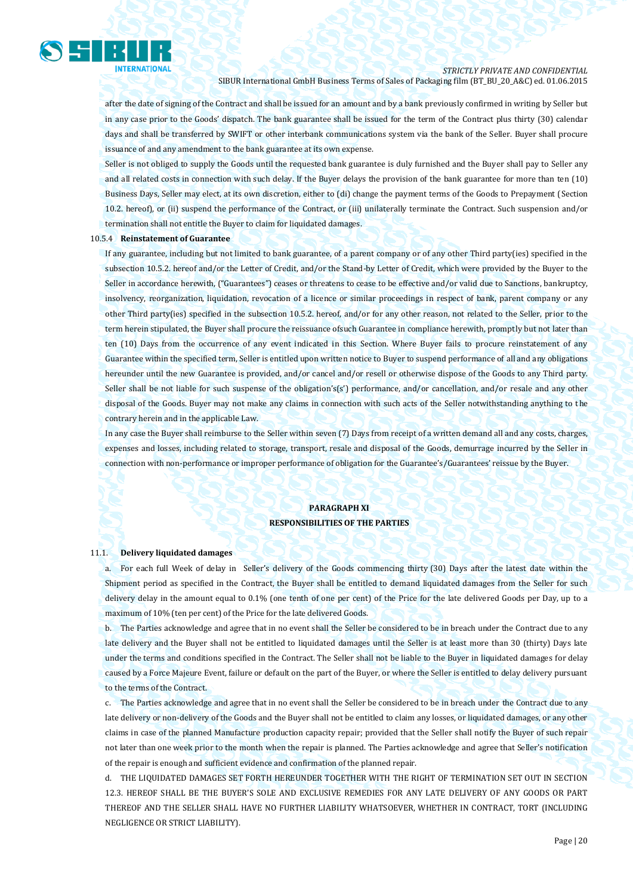

after the date of signing of the Contract and shall be issued for an amount and by a bank previously confirmed in writing by Seller but in any case prior to the Goods' dispatch. The bank guarantee shall be issued for the term of the Contract plus thirty (30) calendar days and shall be transferred by SWIFT or other interbank communications system via the bank of the Seller. Buyer shall procure issuance of and any amendment to the bank guarantee at its own expense.

Seller is not obliged to supply the Goods until the requested bank guarantee is duly furnished and the Buyer shall pay to Seller any and all related costs in connection with such delay. If the Buyer delays the provision of the bank guarantee for more than ten (10) Business Days, Seller may elect, at its own discretion, either to (di) change the payment terms of the Goods to Prepayment (Section 10.2. hereof), or (ii) suspend the performance of the Contract, or (iii) unilaterally terminate the Contract. Such suspension and/or termination shall not entitle the Buyer to claim for liquidated damages.

#### 10.5.4 **Reinstatement of Guarantee**

If any guarantee, including but not limited to bank guarantee, of a parent company or of any other Third party(ies) specified in the subsection 10.5.2. hereof and/or the Letter of Credit, and/or the Stand-by Letter of Credit, which were provided by the Buyer to the Seller in accordance herewith, ("Guarantees") ceases or threatens to cease to be effective and/or valid due to Sanctions, bankruptcy, insolvency, reorganization, liquidation, revocation of a licence or similar proceedings in respect of bank, parent company or any other Third party(ies) specified in the subsection 10.5.2. hereof, and/or for any other reason, not related to the Seller, prior to the term herein stipulated, the Buyer shall procure the reissuance ofsuch Guarantee in compliance herewith, promptly but not later than ten (10) Days from the occurrence of any event indicated in this Section. Where Buyer fails to procure reinstatement of any Guarantee within the specified term, Seller is entitled upon written notice to Buyer to suspend performance of all and any obligations hereunder until the new Guarantee is provided, and/or cancel and/or resell or otherwise dispose of the Goods to any Third party. Seller shall be not liable for such suspense of the obligation's(s') performance, and/or cancellation, and/or resale and any other disposal of the Goods. Buyer may not make any claims in connection with such acts of the Seller notwithstanding anything to the contrary herein and in the applicable Law.

In any case the Buyer shall reimburse to the Seller within seven (7) Days from receipt of a written demand all and any costs, charges, expenses and losses, including related to storage, transport, resale and disposal of the Goods, demurrage incurred by the Seller in connection with non-performance or improper performance of obligation for the Guarantee's/Guarantees' reissue by the Buyer.

#### **PARAGRAPH XI RESPONSIBILITIES OF THE PARTIES**

#### 11.1. **Delivery liquidated damages**

a. For each full Week of delay in Seller's delivery of the Goods commencing thirty (30) Days after the latest date within the Shipment period as specified in the Contract, the Buyer shall be entitled to demand liquidated damages from the Seller for such delivery delay in the amount equal to 0.1% (one tenth of one per cent) of the Price for the late delivered Goods per Day, up to a maximum of 10% (ten per cent) of the Price for the late delivered Goods.

b. The Parties acknowledge and agree that in no event shall the Seller be considered to be in breach under the Contract due to any late delivery and the Buyer shall not be entitled to liquidated damages until the Seller is at least more than 30 (thirty) Days late under the terms and conditions specified in the Contract. The Seller shall not be liable to the Buyer in liquidated damages for delay caused by a Force Majeure Event, failure or default on the part of the Buyer, or where the Seller is entitled to delay delivery pursuant to the terms of the Contract.

c. The Parties acknowledge and agree that in no event shall the Seller be considered to be in breach under the Contract due to any late delivery or non-delivery of the Goods and the Buyer shall not be entitled to claim any losses, or liquidated damages, or any other claims in case of the planned Manufacture production capacity repair; provided that the Seller shall notify the Buyer of such repair not later than one week prior to the month when the repair is planned. The Parties acknowledge and agree that Seller's notification of the repair is enough and sufficient evidence and confirmation of the planned repair.

d. THE LIQUIDATED DAMAGES SET FORTH HEREUNDER TOGETHER WITH THE RIGHT OF TERMINATION SET OUT IN SECTION 12.3. HEREOF SHALL BE THE BUYER'S SOLE AND EXCLUSIVE REMEDIES FOR ANY LATE DELIVERY OF ANY GOODS OR PART THEREOF AND THE SELLER SHALL HAVE NO FURTHER LIABILITY WHATSOEVER, WHETHER IN CONTRACT, TORT (INCLUDING NEGLIGENCE OR STRICT LIABILITY).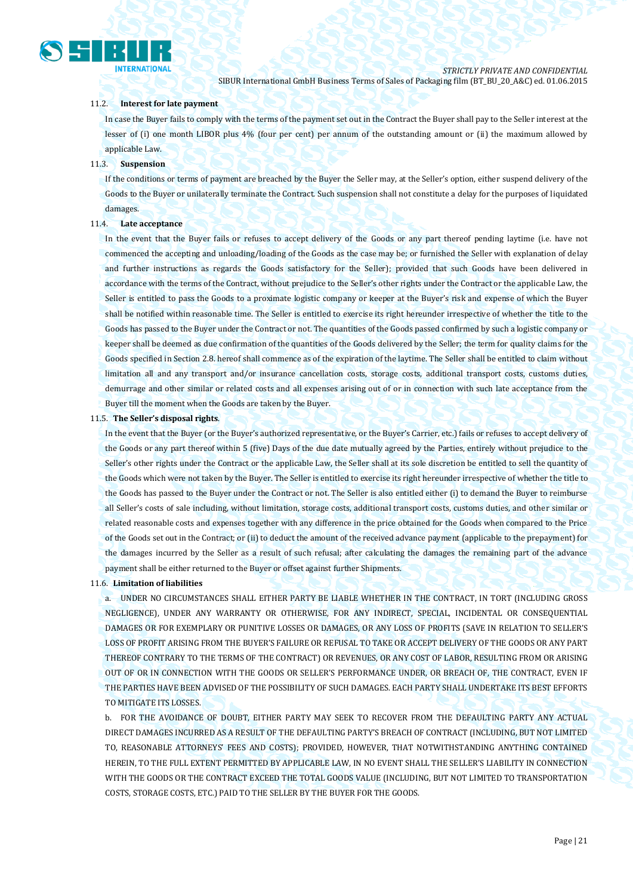# **INTERNATIONAL**

*STRICTLY PRIVATE AND CONFIDENTIAL* SIBUR International GmbH Business Terms of Sales of Packaging film (BT\_BU\_20\_A&C) ed. 01.06.2015

#### 11.2. **Interest for late payment**

In case the Buyer fails to comply with the terms of the payment set out in the Contract the Buyer shall pay to the Seller interest at the lesser of (i) one month LIBOR plus 4% (four per cent) per annum of the outstanding amount or (ii) the maximum allowed by applicable Law.

#### 11.3. **Suspension**

If the conditions or terms of payment are breached by the Buyer the Seller may, at the Seller's option, either suspend delivery of the Goods to the Buyer or unilaterally terminate the Contract. Such suspension shall not constitute a delay for the purposes of liquidated damages.

#### 11.4. **Late acceptance**

In the event that the Buyer fails or refuses to accept delivery of the Goods or any part thereof pending laytime (i.e. have not commenced the accepting and unloading/loading of the Goods as the case may be; or furnished the Seller with explanation of delay and further instructions as regards the Goods satisfactory for the Seller); provided that such Goods have been delivered in accordance with the terms of the Contract, without prejudice to the Seller's other rights under the Contract or the applicable Law, the Seller is entitled to pass the Goods to a proximate logistic company or keeper at the Buyer's risk and expense of which the Buyer shall be notified within reasonable time. The Seller is entitled to exercise its right hereunder irrespective of whether the title to the Goods has passed to the Buyer under the Contract or not. The quantities of the Goods passed confirmed by such a logistic company or keeper shall be deemed as due confirmation of the quantities of the Goods delivered by the Seller; the term for quality claims for the Goods specified in Section 2.8. hereof shall commence as of the expiration of the laytime. The Seller shall be entitled to claim without limitation all and any transport and/or insurance cancellation costs, storage costs, additional transport costs, customs duties, demurrage and other similar or related costs and all expenses arising out of or in connection with such late acceptance from the Buyer till the moment when the Goods are taken by the Buyer.

#### 11.5. **The Seller's disposal rights**.

In the event that the Buyer (or the Buyer's authorized representative, or the Buyer's Carrier, etc.) fails or refuses to accept delivery of the Goods or any part thereof within 5 (five) Days of the due date mutually agreed by the Parties, entirely without prejudice to the Seller's other rights under the Contract or the applicable Law, the Seller shall at its sole discretion be entitled to sell the quantity of the Goods which were not taken by the Buyer. The Seller is entitled to exercise its right hereunder irrespective of whether the title to the Goods has passed to the Buyer under the Contract or not. The Seller is also entitled either (i) to demand the Buyer to reimburse all Seller's costs of sale including, without limitation, storage costs, additional transport costs, customs duties, and other similar or related reasonable costs and expenses together with any difference in the price obtained for the Goods when compared to the Price of the Goods set out in the Contract; or (ii) to deduct the amount of the received advance payment (applicable to the prepayment) for the damages incurred by the Seller as a result of such refusal; after calculating the damages the remaining part of the advance payment shall be either returned to the Buyer or offset against further Shipments.

#### 11.6. **Limitation of liabilities**

a. UNDER NO CIRCUMSTANCES SHALL EITHER PARTY BE LIABLE WHETHER IN THE CONTRACT, IN TORT (INCLUDING GROSS NEGLIGENCE), UNDER ANY WARRANTY OR OTHERWISE, FOR ANY INDIRECT, SPECIAL, INCIDENTAL OR CONSEQUENTIAL DAMAGES OR FOR EXEMPLARY OR PUNITIVE LOSSES OR DAMAGES, OR ANY LOSS OF PROFITS (SAVE IN RELATION TO SELLER'S LOSS OF PROFIT ARISING FROM THE BUYER'S FAILURE OR REFUSAL TO TAKE OR ACCEPT DELIVERY OF THE GOODS OR ANY PART THEREOF CONTRARY TO THE TERMS OF THE CONTRACT) OR REVENUES, OR ANY COST OF LABOR, RESULTING FROM OR ARISING OUT OF OR IN CONNECTION WITH THE GOODS OR SELLER'S PERFORMANCE UNDER, OR BREACH OF, THE CONTRACT, EVEN IF THE PARTIES HAVE BEEN ADVISED OF THE POSSIBILITY OF SUCH DAMAGES. EACH PARTY SHALL UNDERTAKE ITS BEST EFFORTS TO MITIGATE ITS LOSSES.

b. FOR THE AVOIDANCE OF DOUBT, EITHER PARTY MAY SEEK TO RECOVER FROM THE DEFAULTING PARTY ANY ACTUAL DIRECT DAMAGES INCURRED AS A RESULT OF THE DEFAULTING PARTY'S BREACH OF CONTRACT (INCLUDING, BUT NOT LIMITED TO, REASONABLE ATTORNEYS' FEES AND COSTS); PROVIDED, HOWEVER, THAT NOTWITHSTANDING ANYTHING CONTAINED HEREIN, TO THE FULL EXTENT PERMITTED BY APPLICABLE LAW, IN NO EVENT SHALL THE SELLER'S LIABILITY IN CONNECTION WITH THE GOODS OR THE CONTRACT EXCEED THE TOTAL GOODS VALUE (INCLUDING, BUT NOT LIMITED TO TRANSPORTATION COSTS, STORAGE COSTS, ETC.) PAID TO THE SELLER BY THE BUYER FOR THE GOODS.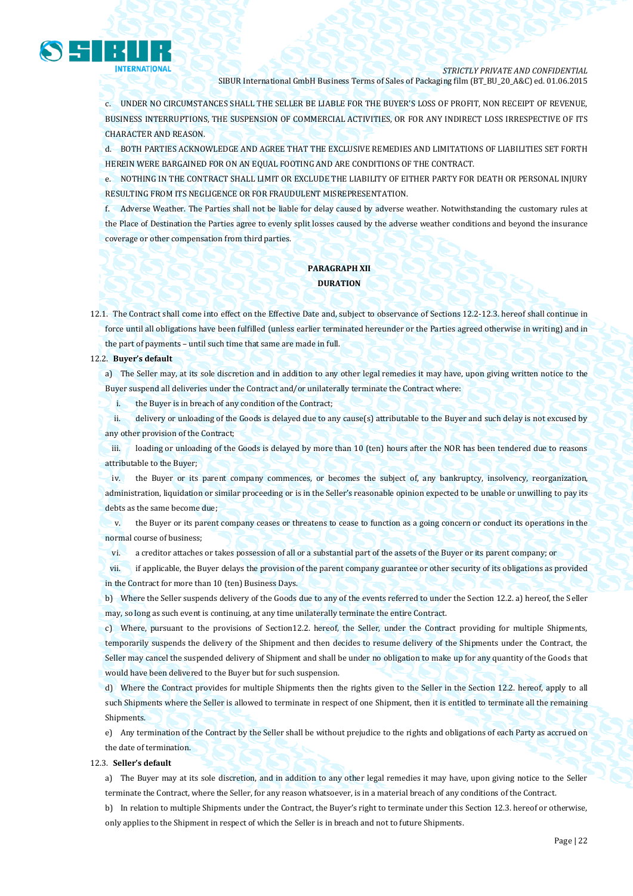

c. UNDER NO CIRCUMSTANCES SHALL THE SELLER BE LIABLE FOR THE BUYER'S LOSS OF PROFIT, NON RECEIPT OF REVENUE, BUSINESS INTERRUPTIONS, THE SUSPENSION OF COMMERCIAL ACTIVITIES, OR FOR ANY INDIRECT LOSS IRRESPECTIVE OF ITS CHARACTER AND REASON.

d. BOTH PARTIES ACKNOWLEDGE AND AGREE THAT THE EXCLUSIVE REMEDIES AND LIMITATIONS OF LIABILITIES SET FORTH HEREIN WERE BARGAINED FOR ON AN EQUAL FOOTING AND ARE CONDITIONS OF THE CONTRACT.

e. NOTHING IN THE CONTRACT SHALL LIMIT OR EXCLUDE THE LIABILITY OF EITHER PARTY FOR DEATH OR PERSONAL INJURY RESULTING FROM ITS NEGLIGENCE OR FOR FRAUDULENT MISREPRESENTATION.

f. Adverse Weather. The Parties shall not be liable for delay caused by adverse weather. Notwithstanding the customary rules at the Place of Destination the Parties agree to evenly split losses caused by the adverse weather conditions and beyond the insurance coverage or other compensation from third parties.

#### **PARAGRAPH XII DURATION**

12.1. The Contract shall come into effect on the Effective Date and, subject to observance of Sections 12.2-12.3. hereof shall continue in force until all obligations have been fulfilled (unless earlier terminated hereunder or the Parties agreed otherwise in writing) and in the part of payments – until such time that same are made in full.

#### 12.2. **Buyer's default**

a) The Seller may, at its sole discretion and in addition to any other legal remedies it may have, upon giving written notice to the Buyer suspend all deliveries under the Contract and/or unilaterally terminate the Contract where:

i. the Buyer is in breach of any condition of the Contract;

ii. delivery or unloading of the Goods is delayed due to any cause(s) attributable to the Buyer and such delay is not excused by any other provision of the Contract;

iii. loading or unloading of the Goods is delayed by more than 10 (ten) hours after the NOR has been tendered due to reasons attributable to the Buyer;

iv. the Buyer or its parent company commences, or becomes the subject of, any bankruptcy, insolvency, reorganization, administration, liquidation or similar proceeding or is in the Seller's reasonable opinion expected to be unable or unwilling to pay its debts as the same become due;

v. the Buyer or its parent company ceases or threatens to cease to function as a going concern or conduct its operations in the normal course of business;

vi. a creditor attaches or takes possession of all or a substantial part of the assets of the Buyer or its parent company; or

vii. if applicable, the Buyer delays the provision of the parent company guarantee or other security of its obligations as provided in the Contract for more than 10 (ten) Business Days.

b) Where the Seller suspends delivery of the Goods due to any of the events referred to under the Section 12.2. a) hereof, the Seller may, so long as such event is continuing, at any time unilaterally terminate the entire Contract.

c) Where, pursuant to the provisions of Section12.2. hereof, the Seller, under the Contract providing for multiple Shipments, temporarily suspends the delivery of the Shipment and then decides to resume delivery of the Shipments under the Contract, the Seller may cancel the suspended delivery of Shipment and shall be under no obligation to make up for any quantity of the Goods that would have been delivered to the Buyer but for such suspension.

d) Where the Contract provides for multiple Shipments then the rights given to the Seller in the Section 12.2. hereof, apply to all such Shipments where the Seller is allowed to terminate in respect of one Shipment, then it is entitled to terminate all the remaining Shipments.

e) Any termination of the Contract by the Seller shall be without prejudice to the rights and obligations of each Party as accrued on the date of termination.

#### 12.3. **Seller's default**

a) The Buyer may at its sole discretion, and in addition to any other legal remedies it may have, upon giving notice to the Seller terminate the Contract, where the Seller, for any reason whatsoever, is in a material breach of any conditions of the Contract.

b) In relation to multiple Shipments under the Contract, the Buyer's right to terminate under this Section 12.3. hereof or otherwise, only applies to the Shipment in respect of which the Seller is in breach and not to future Shipments.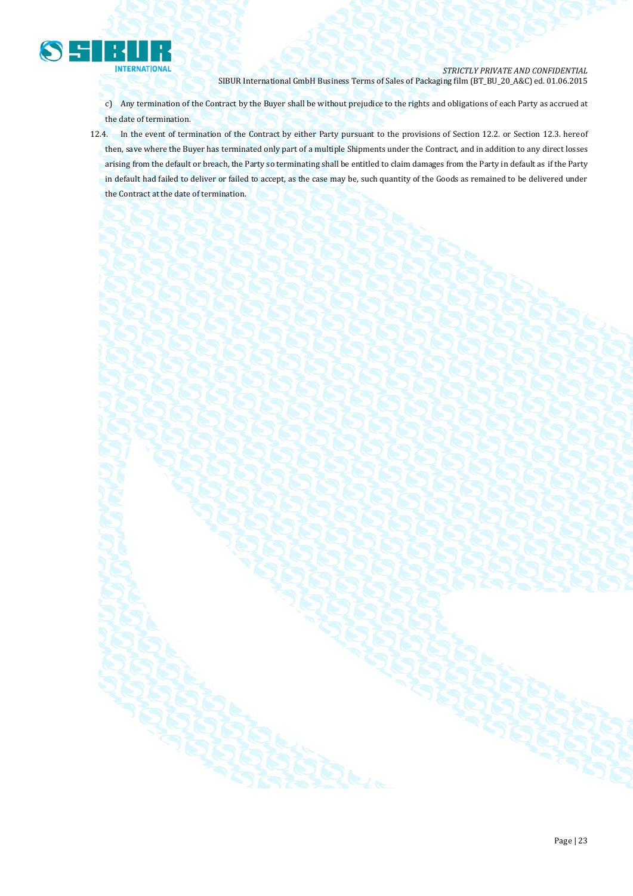

c) Any termination of the Contract by the Buyer shall be without prejudice to the rights and obligations of each Party as accrued at the date of termination.

12.4. In the event of termination of the Contract by either Party pursuant to the provisions of Section 12.2. or Section 12.3. hereof then, save where the Buyer has terminated only part of a multiple Shipments under the Contract, and in addition to any direct losses arising from the default or breach, the Party so terminating shall be entitled to claim damages from the Party in default as if the Party in default had failed to deliver or failed to accept, as the case may be, such quantity of the Goods as remained to be delivered under the Contract at the date of termination.

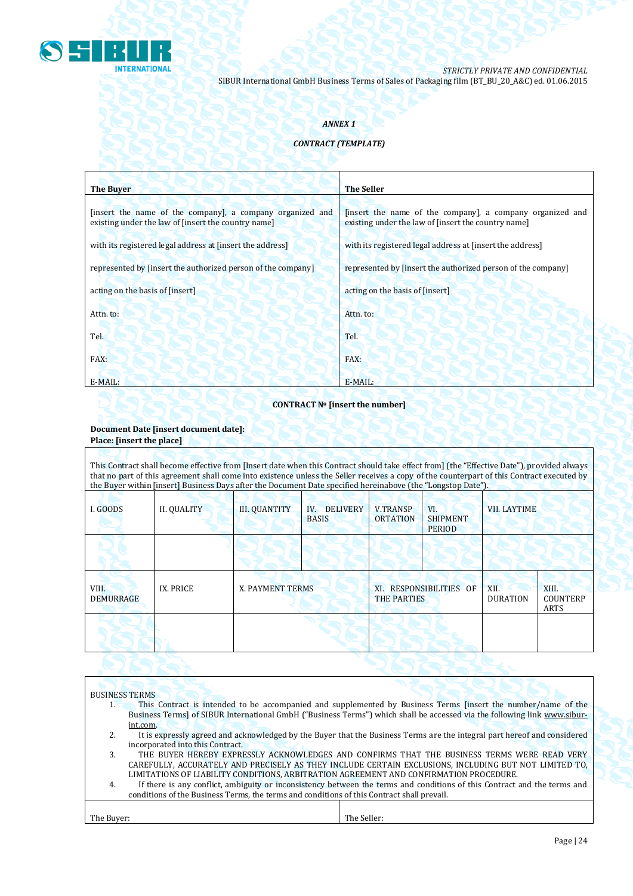

#### *ANNEX 1*

#### *CONTRACT (TEMPLATE)*

| <b>The Buyer</b>                                                                                                 | <b>The Seller</b>                                                                                                |
|------------------------------------------------------------------------------------------------------------------|------------------------------------------------------------------------------------------------------------------|
| [insert the name of the company], a company organized and<br>existing under the law of [insert the country name] | [insert the name of the company], a company organized and<br>existing under the law of [insert the country name] |
| with its registered legal address at finsert the address                                                         | with its registered legal address at [insert the address]                                                        |
| represented by [insert the authorized person of the company]                                                     | represented by [insert the authorized person of the company]                                                     |
| acting on the basis of [insert]                                                                                  | acting on the basis of [insert]                                                                                  |
| Attn. to:                                                                                                        | Attn. to:                                                                                                        |
| Tel.                                                                                                             | Tel.                                                                                                             |
| FAX:                                                                                                             | FAX:                                                                                                             |
| E-MAIL:                                                                                                          | E-MAIL:                                                                                                          |

#### **CONTRACT № [insert the number]**

## **Document Date [insert document date]:**

## **Place: [insert the place]**

This Contract shall become effective from [Insert date when this Contract should take effect from] (the "Effective Date"), provided always that no part of this agreement shall come into existence unless the Seller receives a copy of the counterpart of this Contract executed by the Buyer within [insert] Business Days after the Document Date specified hereinabove (the "Longstop Date").

| I. GOODS                  | <b>II. QUALITY</b> | <b>III. QUANTITY</b> | IV. DELIVERY<br><b>BASIS</b> | <b>V.TRANSP</b><br><b>ORTATION</b>            | VI.<br><b>SHIPMENT</b><br><b>PERIOD</b> | <b>VII. LAYTIME</b>     |                           |
|---------------------------|--------------------|----------------------|------------------------------|-----------------------------------------------|-----------------------------------------|-------------------------|---------------------------|
|                           |                    |                      |                              |                                               |                                         |                         |                           |
| VIII.<br><b>DEMURRAGE</b> | IX. PRICE          | X. PAYMENT TERMS     |                              | XI. RESPONSIBILITIES OF<br><b>THE PARTIES</b> |                                         | XII.<br><b>DURATION</b> | XIII.<br>COUNTERP<br>ARTS |
|                           |                    |                      |                              |                                               |                                         |                         |                           |

## BUSINESS TERMS

- 1. This Contract is intended to be accompanied and supplemented by Business Terms [insert the number/name of the Business Terms] of SIBUR International GmbH ("Business Terms") which shall be accessed via the following link [www.sibur](http://www.sibur-int.com/)[int.com.](http://www.sibur-int.com/)
- 2. It is expressly agreed and acknowledged by the Buyer that the Business Terms are the integral part hereof and considered incorporated into this Contract.
- 3. THE BUYER HEREBY EXPRESSLY ACKNOWLEDGES AND CONFIRMS THAT THE BUSINESS TERMS WERE READ VERY CAREFULLY, ACCURATELY AND PRECISELY AS THEY INCLUDE CERTAIN EXCLUSIONS, INCLUDING BUT NOT LIMITED TO, LIMITATIONS OF LIABILITY CONDITIONS, ARBITRATION AGREEMENT AND CONFIRMATION PROCEDURE.
- 4. If there is any conflict, ambiguity or inconsistency between the terms and conditions of this Contract and the terms and conditions of the Business Terms, the terms and conditions of this Contract shall prevail.

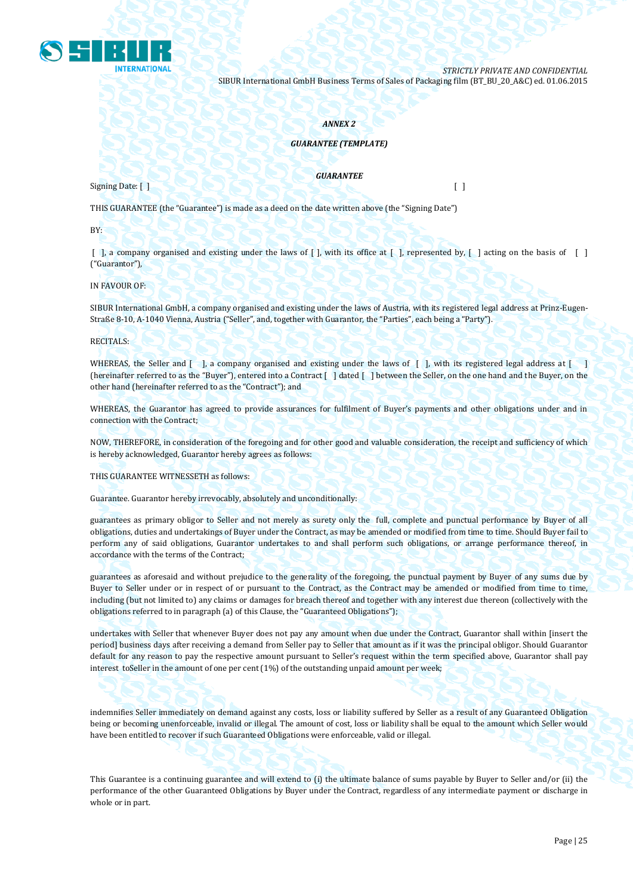

#### *ANNEX 2*

#### *GUARANTEE (TEMPLATE)*

Signing Date: [ ] [ ]

*GUARANTEE*

THIS GUARANTEE (the "Guarantee") is made as a deed on the date written above (the "Signing Date")

BY:

 $\lceil$ , a company organised and existing under the laws of  $\lceil$ , with its office at  $\lceil$ , represented by,  $\lceil$ , acting on the basis of  $\lceil$ ("Guarantor"),

IN FAVOUR OF:

SIBUR International GmbH, a company organised and existing under the laws of Austria, with its registered legal address at Prinz-Eugen-Straße 8-10, A-1040 Vienna, Austria ("Seller", and, together with Guarantor, the "Parties", each being a "Party").

RECITALS:

WHEREAS, the Seller and [ ], a company organised and existing under the laws of [ ], with its registered legal address at [ ] (hereinafter referred to as the "Buyer"), entered into a Contract [ ] dated [ ] between the Seller, on the one hand and the Buyer, on the other hand (hereinafter referred to as the "Contract"); and

WHEREAS, the Guarantor has agreed to provide assurances for fulfilment of Buyer's payments and other obligations under and in connection with the Contract;

NOW, THEREFORE, in consideration of the foregoing and for other good and valuable consideration, the receipt and sufficiency of which is hereby acknowledged, Guarantor hereby agrees as follows:

THIS GUARANTEE WITNESSETH as follows:

Guarantee. Guarantor hereby irrevocably, absolutely and unconditionally:

guarantees as primary obligor to Seller and not merely as surety only the full, complete and punctual performance by Buyer of all obligations, duties and undertakings of Buyer under the Contract, as may be amended or modified from time to time. Should Buyer fail to perform any of said obligations, Guarantor undertakes to and shall perform such obligations, or arrange performance thereof, in accordance with the terms of the Contract;

guarantees as aforesaid and without prejudice to the generality of the foregoing, the punctual payment by Buyer of any sums due by Buyer to Seller under or in respect of or pursuant to the Contract, as the Contract may be amended or modified from time to time, including (but not limited to) any claims or damages for breach thereof and together with any interest due thereon (collectively with the obligations referred to in paragraph (a) of this Clause, the "Guaranteed Obligations");

undertakes with Seller that whenever Buyer does not pay any amount when due under the Contract, Guarantor shall within [insert the period] business days after receiving a demand from Seller pay to Seller that amount as if it was the principal obligor. Should Guarantor default for any reason to pay the respective amount pursuant to Seller's request within the term specified above, Guarantor shall pay interest toSeller in the amount of one per cent (1%) of the outstanding unpaid amount per week;

indemnifies Seller immediately on demand against any costs, loss or liability suffered by Seller as a result of any Guaranteed Obligation being or becoming unenforceable, invalid or illegal. The amount of cost, loss or liability shall be equal to the amount which Seller would have been entitled to recover if such Guaranteed Obligations were enforceable, valid or illegal.

This Guarantee is a continuing guarantee and will extend to (i) the ultimate balance of sums payable by Buyer to Seller and/or (ii) the performance of the other Guaranteed Obligations by Buyer under the Contract, regardless of any intermediate payment or discharge in whole or in part.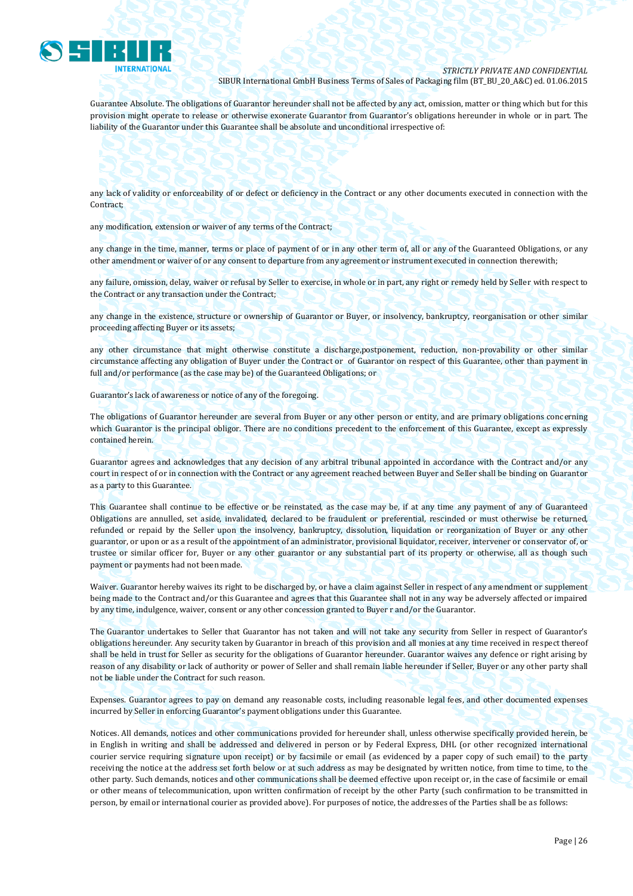

Guarantee Absolute. The obligations of Guarantor hereunder shall not be affected by any act, omission, matter or thing which but for this provision might operate to release or otherwise exonerate Guarantor from Guarantor's obligations hereunder in whole or in part. The liability of the Guarantor under this Guarantee shall be absolute and unconditional irrespective of:

any lack of validity or enforceability of or defect or deficiency in the Contract or any other documents executed in connection with the Contract;

any modification, extension or waiver of any terms of the Contract;

any change in the time, manner, terms or place of payment of or in any other term of, all or any of the Guaranteed Obligations, or any other amendment or waiver of or any consent to departure from any agreement or instrument executed in connection therewith;

any failure, omission, delay, waiver or refusal by Seller to exercise, in whole or in part, any right or remedy held by Seller with respect to the Contract or any transaction under the Contract;

any change in the existence, structure or ownership of Guarantor or Buyer, or insolvency, bankruptcy, reorganisation or other similar proceeding affecting Buyer or its assets;

any other circumstance that might otherwise constitute a discharge,postponement, reduction, non-provability or other similar circumstance affecting any obligation of Buyer under the Contract or of Guarantor on respect of this Guarantee, other than payment in full and/or performance (as the case may be) of the Guaranteed Obligations; or

Guarantor's lack of awareness or notice of any of the foregoing.

The obligations of Guarantor hereunder are several from Buyer or any other person or entity, and are primary obligations concerning which Guarantor is the principal obligor. There are no conditions precedent to the enforcement of this Guarantee, except as expressly contained herein.

Guarantor agrees and acknowledges that any decision of any arbitral tribunal appointed in accordance with the Contract and/or any court in respect of or in connection with the Contract or any agreement reached between Buyer and Seller shall be binding on Guarantor as a party to this Guarantee.

This Guarantee shall continue to be effective or be reinstated, as the case may be, if at any time any payment of any of Guaranteed Obligations are annulled, set aside, invalidated, declared to be fraudulent or preferential, rescinded or must otherwise be returned, refunded or repaid by the Seller upon the insolvency, bankruptcy, dissolution, liquidation or reorganization of Buyer or any other guarantor, or upon or as a result of the appointment of an administrator, provisional liquidator, receiver, intervener or conservator of, or trustee or similar officer for, Buyer or any other guarantor or any substantial part of its property or otherwise, all as though such payment or payments had not been made.

Waiver. Guarantor hereby waives its right to be discharged by, or have a claim against Seller in respect of any amendment or supplement being made to the Contract and/or this Guarantee and agrees that this Guarantee shall not in any way be adversely affected or impaired by any time, indulgence, waiver, consent or any other concession granted to Buyer r and/or the Guarantor.

The Guarantor undertakes to Seller that Guarantor has not taken and will not take any security from Seller in respect of Guarantor's obligations hereunder. Any security taken by Guarantor in breach of this provision and all monies at any time received in respect thereof shall be held in trust for Seller as security for the obligations of Guarantor hereunder. Guarantor waives any defence or right arising by reason of any disability or lack of authority or power of Seller and shall remain liable hereunder if Seller, Buyer or any other party shall not be liable under the Contract for such reason.

Expenses. Guarantor agrees to pay on demand any reasonable costs, including reasonable legal fees, and other documented expenses incurred by Seller in enforcing Guarantor's payment obligations under this Guarantee.

Notices. All demands, notices and other communications provided for hereunder shall, unless otherwise specifically provided herein, be in English in writing and shall be addressed and delivered in person or by Federal Express, DHL (or other recognized international courier service requiring signature upon receipt) or by facsimile or email (as evidenced by a paper copy of such email) to the party receiving the notice at the address set forth below or at such address as may be designated by written notice, from time to time, to the other party. Such demands, notices and other communications shall be deemed effective upon receipt or, in the case of facsimile or email or other means of telecommunication, upon written confirmation of receipt by the other Party (such confirmation to be transmitted in person, by email or international courier as provided above). For purposes of notice, the addresses of the Parties shall be as follows: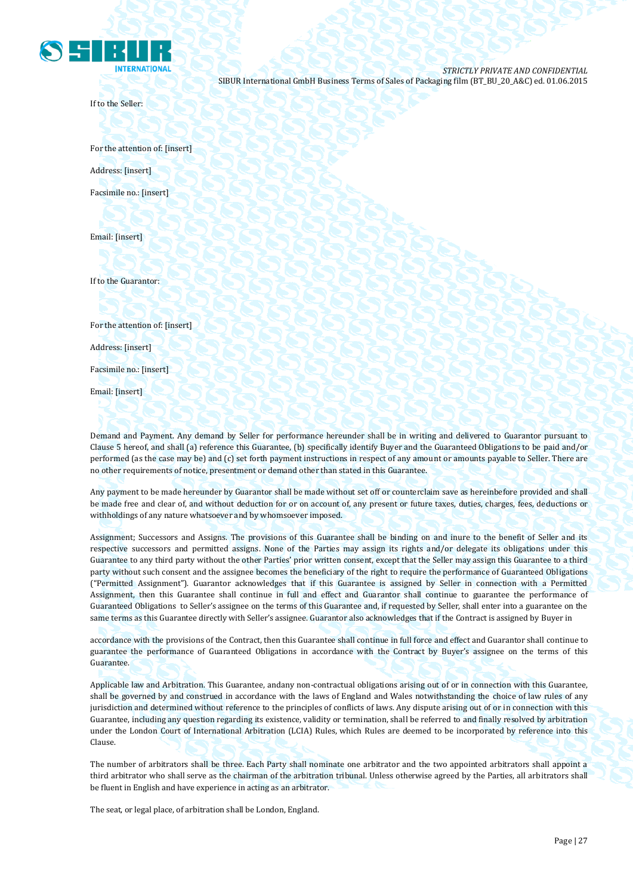

If to the Seller:

For the attention of: [insert] Address: [insert] Facsimile no.: [insert]

Email: [insert]

If to the Guarantor:

For the attention of: [insert]

Address: [insert]

Facsimile no.: [insert]

Email: [insert]

Demand and Payment. Any demand by Seller for performance hereunder shall be in writing and delivered to Guarantor pursuant to Clause 5 hereof, and shall (a) reference this Guarantee, (b) specifically identify Buyer and the Guaranteed Obligations to be paid and/or performed (as the case may be) and (c) set forth payment instructions in respect of any amount or amounts payable to Seller. There are no other requirements of notice, presentment or demand other than stated in this Guarantee.

Any payment to be made hereunder by Guarantor shall be made without set off or counterclaim save as hereinbefore provided and shall be made free and clear of, and without deduction for or on account of, any present or future taxes, duties, charges, fees, deductions or withholdings of any nature whatsoever and by whomsoever imposed.

Assignment; Successors and Assigns. The provisions of this Guarantee shall be binding on and inure to the benefit of Seller and its respective successors and permitted assigns. None of the Parties may assign its rights and/or delegate its obligations under this Guarantee to any third party without the other Parties' prior written consent, except that the Seller may assign this Guarantee to a third party without such consent and the assignee becomes the beneficiary of the right to require the performance of Guaranteed Obligations ("Permitted Assignment"). Guarantor acknowledges that if this Guarantee is assigned by Seller in connection with a Permitted Assignment, then this Guarantee shall continue in full and effect and Guarantor shall continue to guarantee the performance of Guaranteed Obligations to Seller's assignee on the terms of this Guarantee and, if requested by Seller, shall enter into a guarantee on the same terms as this Guarantee directly with Seller's assignee. Guarantor also acknowledges that if the Contract is assigned by Buyer in

accordance with the provisions of the Contract, then this Guarantee shall continue in full force and effect and Guarantor shall continue to guarantee the performance of Guaranteed Obligations in accordance with the Contract by Buyer's assignee on the terms of this Guarantee.

Applicable law and Arbitration. This Guarantee, andany non-contractual obligations arising out of or in connection with this Guarantee, shall be governed by and construed in accordance with the laws of England and Wales notwithstanding the choice of law rules of any jurisdiction and determined without reference to the principles of conflicts of laws. Any dispute arising out of or in connection with this Guarantee, including any question regarding its existence, validity or termination, shall be referred to and finally resolved by arbitration under the London Court of International Arbitration (LCIA) Rules, which Rules are deemed to be incorporated by reference into this Clause.

The number of arbitrators shall be three. Each Party shall nominate one arbitrator and the two appointed arbitrators shall appoint a third arbitrator who shall serve as the chairman of the arbitration tribunal. Unless otherwise agreed by the Parties, all arbitrators shall be fluent in English and have experience in acting as an arbitrator.

The seat, or legal place, of arbitration shall be London, England.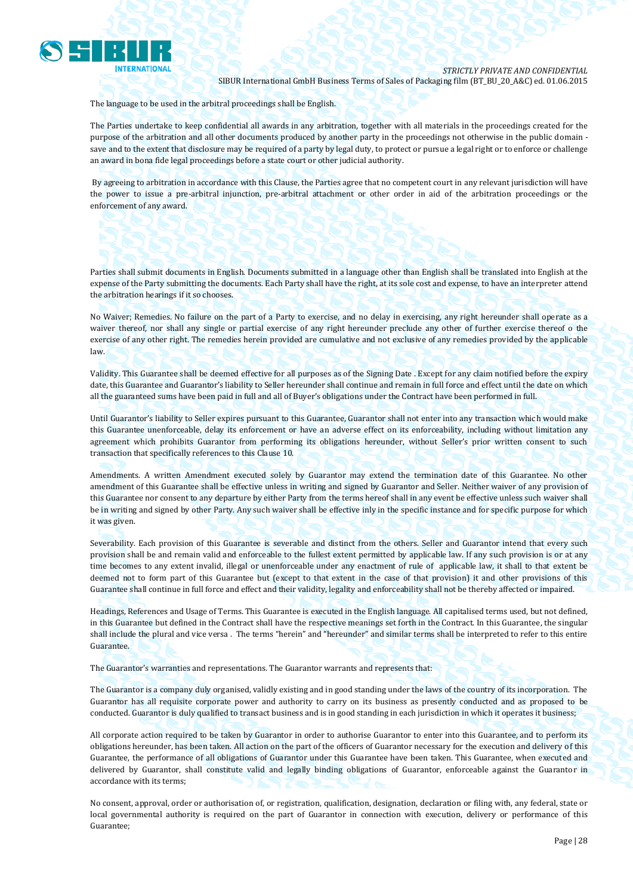

The language to be used in the arbitral proceedings shall be English.

The Parties undertake to keep confidential all awards in any arbitration, together with all materials in the proceedings created for the purpose of the arbitration and all other documents produced by another party in the proceedings not otherwise in the public domain save and to the extent that disclosure may be required of a party by legal duty, to protect or pursue a legal right or to enforce or challenge an award in bona fide legal proceedings before a state court or other judicial authority.

By agreeing to arbitration in accordance with this Clause, the Parties agree that no competent court in any relevant jurisdiction will have the power to issue a pre-arbitral injunction, pre-arbitral attachment or other order in aid of the arbitration proceedings or the enforcement of any award.

Parties shall submit documents in English. Documents submitted in a language other than English shall be translated into English at the expense of the Party submitting the documents. Each Party shall have the right, at its sole cost and expense, to have an interpreter attend the arbitration hearings if it so chooses.

No Waiver; Remedies. No failure on the part of a Party to exercise, and no delay in exercising, any right hereunder shall operate as a waiver thereof, nor shall any single or partial exercise of any right hereunder preclude any other of further exercise thereof o the exercise of any other right. The remedies herein provided are cumulative and not exclusive of any remedies provided by the applicable law.

Validity. This Guarantee shall be deemed effective for all purposes as of the Signing Date . Except for any claim notified before the expiry date, this Guarantee and Guarantor's liability to Seller hereunder shall continue and remain in full force and effect until the date on which all the guaranteed sums have been paid in full and all of Buyer's obligations under the Contract have been performed in full.

Until Guarantor's liability to Seller expires pursuant to this Guarantee, Guarantor shall not enter into any transaction which would make this Guarantee unenforceable, delay its enforcement or have an adverse effect on its enforceability, including without limitation any agreement which prohibits Guarantor from performing its obligations hereunder, without Seller's prior written consent to such transaction that specifically references to this Clause 10.

Amendments. A written Amendment executed solely by Guarantor may extend the termination date of this Guarantee. No other amendment of this Guarantee shall be effective unless in writing and signed by Guarantor and Seller. Neither waiver of any provision of this Guarantee nor consent to any departure by either Party from the terms hereof shall in any event be effective unless such waiver shall be in writing and signed by other Party. Any such waiver shall be effective inly in the specific instance and for specific purpose for which it was given.

Severability. Each provision of this Guarantee is severable and distinct from the others. Seller and Guarantor intend that every such provision shall be and remain valid and enforceable to the fullest extent permitted by applicable law. If any such provision is or at any time becomes to any extent invalid, illegal or unenforceable under any enactment of rule of applicable law, it shall to that extent be deemed not to form part of this Guarantee but (except to that extent in the case of that provision) it and other provisions of this Guarantee shall continue in full force and effect and their validity, legality and enforceability shall not be thereby affected or impaired.

Headings, References and Usage of Terms. This Guarantee is executed in the English language. All capitalised terms used, but not defined, in this Guarantee but defined in the Contract shall have the respective meanings set forth in the Contract. In this Guarantee, the singular shall include the plural and vice versa . The terms "herein" and "hereunder" and similar terms shall be interpreted to refer to this entire Guarantee.

The Guarantor's warranties and representations. The Guarantor warrants and represents that:

The Guarantor is a company duly organised, validly existing and in good standing under the laws of the country of its incorporation. The Guarantor has all requisite corporate power and authority to carry on its business as presently conducted and as proposed to be conducted. Guarantor is duly qualified to transact business and is in good standing in each jurisdiction in which it operates it business;

All corporate action required to be taken by Guarantor in order to authorise Guarantor to enter into this Guarantee, and to perform its obligations hereunder, has been taken. All action on the part of the officers of Guarantor necessary for the execution and delivery of this Guarantee, the performance of all obligations of Guarantor under this Guarantee have been taken. This Guarantee, when executed and delivered by Guarantor, shall constitute valid and legally binding obligations of Guarantor, enforceable against the Guarantor in accordance with its terms;

No consent, approval, order or authorisation of, or registration, qualification, designation, declaration or filing with, any federal, state or local governmental authority is required on the part of Guarantor in connection with execution, delivery or performance of this Guarantee;